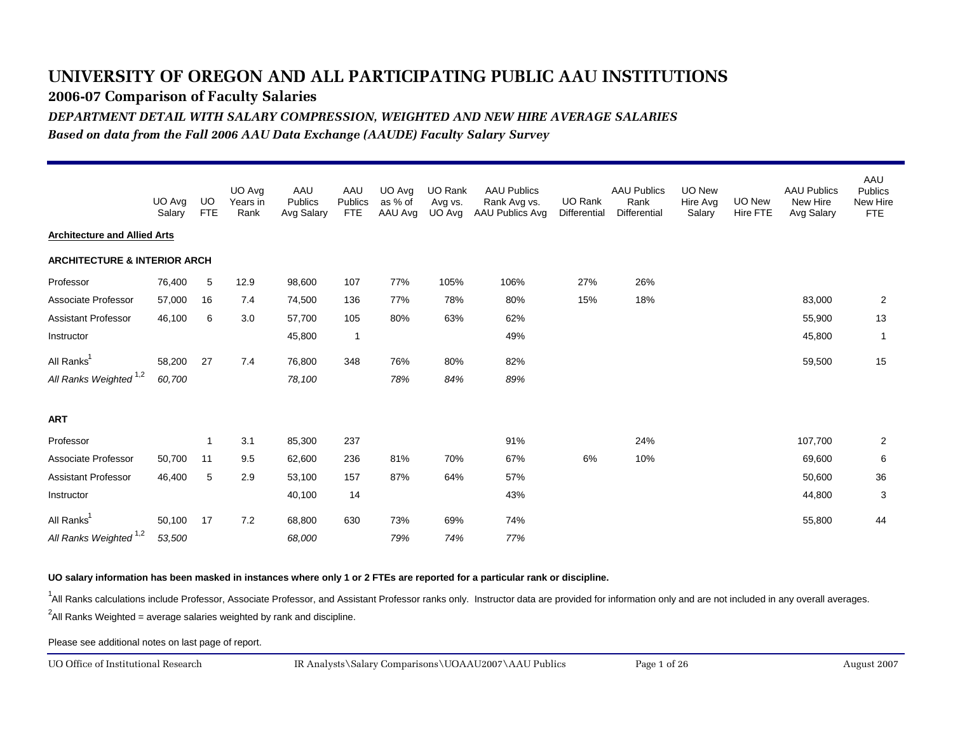**2006-07 Comparison of Faculty Salaries**

*DEPARTMENT DETAIL WITH SALARY COMPRESSION, WEIGHTED AND NEW HIRE AVERAGE SALARIES*

*Based on data from the Fall 2006 AAU Data Exchange (AAUDE) Faculty Salary Survey*

|                                         | UO Avg<br>Salary | UO<br><b>FTE</b> | UO Avg<br>Years in<br>Rank | AAU<br>Publics<br>Avg Salary | AAU<br>Publics<br><b>FTE</b> | UO Avg<br>as % of<br>AAU Avg | <b>UO Rank</b><br>Avg vs.<br>UO Avg | <b>AAU Publics</b><br>Rank Avg vs.<br>AAU Publics Avg | UO Rank<br>Differential | <b>AAU Publics</b><br>Rank<br><b>Differential</b> | <b>UO New</b><br>Hire Avg<br>Salary | UO New<br>Hire FTE | <b>AAU Publics</b><br>New Hire<br>Avg Salary | AAU<br><b>Publics</b><br>New Hire<br><b>FTE</b> |
|-----------------------------------------|------------------|------------------|----------------------------|------------------------------|------------------------------|------------------------------|-------------------------------------|-------------------------------------------------------|-------------------------|---------------------------------------------------|-------------------------------------|--------------------|----------------------------------------------|-------------------------------------------------|
| <b>Architecture and Allied Arts</b>     |                  |                  |                            |                              |                              |                              |                                     |                                                       |                         |                                                   |                                     |                    |                                              |                                                 |
| <b>ARCHITECTURE &amp; INTERIOR ARCH</b> |                  |                  |                            |                              |                              |                              |                                     |                                                       |                         |                                                   |                                     |                    |                                              |                                                 |
| Professor                               | 76,400           | 5                | 12.9                       | 98,600                       | 107                          | 77%                          | 105%                                | 106%                                                  | 27%                     | 26%                                               |                                     |                    |                                              |                                                 |
| Associate Professor                     | 57,000           | 16               | 7.4                        | 74,500                       | 136                          | 77%                          | 78%                                 | 80%                                                   | 15%                     | 18%                                               |                                     |                    | 83,000                                       | $\overline{2}$                                  |
| <b>Assistant Professor</b>              | 46,100           | 6                | 3.0                        | 57,700                       | 105                          | 80%                          | 63%                                 | 62%                                                   |                         |                                                   |                                     |                    | 55,900                                       | 13                                              |
| Instructor                              |                  |                  |                            | 45,800                       | $\overline{1}$               |                              |                                     | 49%                                                   |                         |                                                   |                                     |                    | 45,800                                       | $\overline{1}$                                  |
| All Ranks <sup>1</sup>                  | 58,200           | 27               | 7.4                        | 76,800                       | 348                          | 76%                          | 80%                                 | 82%                                                   |                         |                                                   |                                     |                    | 59,500                                       | 15                                              |
| All Ranks Weighted <sup>1,2</sup>       | 60,700           |                  |                            | 78,100                       |                              | 78%                          | 84%                                 | 89%                                                   |                         |                                                   |                                     |                    |                                              |                                                 |
| <b>ART</b>                              |                  |                  |                            |                              |                              |                              |                                     |                                                       |                         |                                                   |                                     |                    |                                              |                                                 |
| Professor                               |                  | $\mathbf{1}$     | 3.1                        | 85,300                       | 237                          |                              |                                     | 91%                                                   |                         | 24%                                               |                                     |                    | 107,700                                      | $\overline{2}$                                  |
| Associate Professor                     | 50,700           | 11               | 9.5                        | 62,600                       | 236                          | 81%                          | 70%                                 | 67%                                                   | 6%                      | 10%                                               |                                     |                    | 69,600                                       | 6                                               |
| <b>Assistant Professor</b>              | 46,400           | 5                | 2.9                        | 53,100                       | 157                          | 87%                          | 64%                                 | 57%                                                   |                         |                                                   |                                     |                    | 50,600                                       | 36                                              |
| Instructor                              |                  |                  |                            | 40,100                       | 14                           |                              |                                     | 43%                                                   |                         |                                                   |                                     |                    | 44,800                                       | 3                                               |
| All Ranks <sup>1</sup>                  | 50,100           | 17               | 7.2                        | 68,800                       | 630                          | 73%                          | 69%                                 | 74%                                                   |                         |                                                   |                                     |                    | 55,800                                       | 44                                              |
| All Ranks Weighted <sup>1,2</sup>       | 53,500           |                  |                            | 68,000                       |                              | 79%                          | 74%                                 | 77%                                                   |                         |                                                   |                                     |                    |                                              |                                                 |

#### **UO salary information has been masked in instances where only 1 or 2 FTEs are reported for a particular rank or discipline.**

<sup>1</sup>All Ranks calculations include Professor, Associate Professor, and Assistant Professor ranks only. Instructor data are provided for information only and are not included in any overall averages.

 $^2$ All Ranks Weighted = average salaries weighted by rank and discipline.

Please see additional notes on last page of report.

UO Office of Institutional Research

August 2007 IR Analysts\Salary Comparisons\UOAAU2007\AAU Publics Page 1 of 26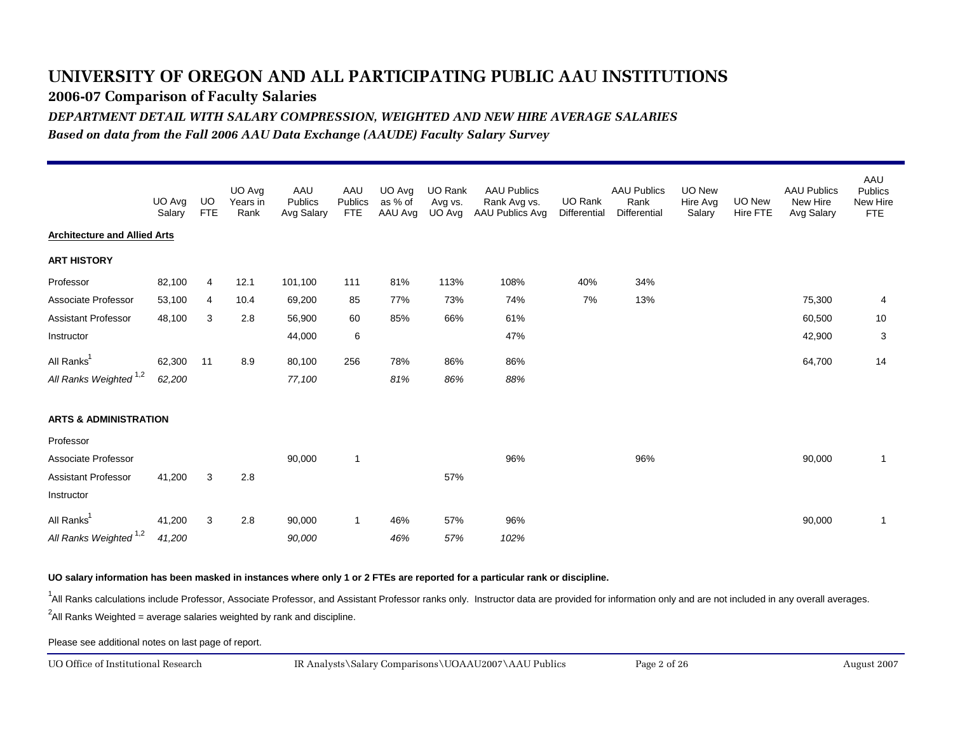**2006-07 Comparison of Faculty Salaries**

*DEPARTMENT DETAIL WITH SALARY COMPRESSION, WEIGHTED AND NEW HIRE AVERAGE SALARIES*

*Based on data from the Fall 2006 AAU Data Exchange (AAUDE) Faculty Salary Survey*

|                                     | UO Avg<br>Salary | UO<br><b>FTE</b> | UO Avg<br>Years in<br>Rank | AAU<br>Publics<br>Avg Salary | AAU<br>Publics<br><b>FTE</b> | UO Avg<br>as % of<br>AAU Avg | UO Rank<br>Avg vs.<br>UO Avg | <b>AAU Publics</b><br>Rank Avg vs.<br><b>AAU Publics Avg</b> | UO Rank<br>Differential | <b>AAU Publics</b><br>Rank<br><b>Differential</b> | UO New<br>Hire Avg<br>Salary | <b>UO New</b><br>Hire FTE | <b>AAU Publics</b><br>New Hire<br>Avg Salary | AAU<br><b>Publics</b><br>New Hire<br><b>FTE</b> |
|-------------------------------------|------------------|------------------|----------------------------|------------------------------|------------------------------|------------------------------|------------------------------|--------------------------------------------------------------|-------------------------|---------------------------------------------------|------------------------------|---------------------------|----------------------------------------------|-------------------------------------------------|
| <b>Architecture and Allied Arts</b> |                  |                  |                            |                              |                              |                              |                              |                                                              |                         |                                                   |                              |                           |                                              |                                                 |
| <b>ART HISTORY</b>                  |                  |                  |                            |                              |                              |                              |                              |                                                              |                         |                                                   |                              |                           |                                              |                                                 |
| Professor                           | 82,100           | $\overline{4}$   | 12.1                       | 101,100                      | 111                          | 81%                          | 113%                         | 108%                                                         | 40%                     | 34%                                               |                              |                           |                                              |                                                 |
| Associate Professor                 | 53,100           | 4                | 10.4                       | 69,200                       | 85                           | 77%                          | 73%                          | 74%                                                          | 7%                      | 13%                                               |                              |                           | 75,300                                       | 4                                               |
| <b>Assistant Professor</b>          | 48,100           | 3                | 2.8                        | 56,900                       | 60                           | 85%                          | 66%                          | 61%                                                          |                         |                                                   |                              |                           | 60,500                                       | 10                                              |
| Instructor                          |                  |                  |                            | 44,000                       | 6                            |                              |                              | 47%                                                          |                         |                                                   |                              |                           | 42,900                                       | 3                                               |
| All Ranks <sup>1</sup>              | 62,300           | 11               | 8.9                        | 80,100                       | 256                          | 78%                          | 86%                          | 86%                                                          |                         |                                                   |                              |                           | 64,700                                       | 14                                              |
| All Ranks Weighted <sup>1,2</sup>   | 62,200           |                  |                            | 77,100                       |                              | 81%                          | 86%                          | 88%                                                          |                         |                                                   |                              |                           |                                              |                                                 |
| <b>ARTS &amp; ADMINISTRATION</b>    |                  |                  |                            |                              |                              |                              |                              |                                                              |                         |                                                   |                              |                           |                                              |                                                 |
| Professor                           |                  |                  |                            |                              |                              |                              |                              |                                                              |                         |                                                   |                              |                           |                                              |                                                 |
| Associate Professor                 |                  |                  |                            | 90,000                       | $\mathbf{1}$                 |                              |                              | 96%                                                          |                         | 96%                                               |                              |                           | 90,000                                       | $\mathbf{1}$                                    |
| Assistant Professor                 | 41,200           | 3                | 2.8                        |                              |                              |                              | 57%                          |                                                              |                         |                                                   |                              |                           |                                              |                                                 |
| Instructor                          |                  |                  |                            |                              |                              |                              |                              |                                                              |                         |                                                   |                              |                           |                                              |                                                 |
| All Ranks <sup>1</sup>              | 41,200           | 3                | 2.8                        | 90,000                       | 1                            | 46%                          | 57%                          | 96%                                                          |                         |                                                   |                              |                           | 90,000                                       | $\mathbf{1}$                                    |
| All Ranks Weighted <sup>1,2</sup>   | 41,200           |                  |                            | 90,000                       |                              | 46%                          | 57%                          | 102%                                                         |                         |                                                   |                              |                           |                                              |                                                 |

#### **UO salary information has been masked in instances where only 1 or 2 FTEs are reported for a particular rank or discipline.**

<sup>1</sup>All Ranks calculations include Professor, Associate Professor, and Assistant Professor ranks only. Instructor data are provided for information only and are not included in any overall averages.

 $^2$ All Ranks Weighted = average salaries weighted by rank and discipline.

Please see additional notes on last page of report.

UO Office of Institutional Research

August 2007 IR Analysts\Salary Comparisons\UOAAU2007\AAU Publics Page 2 of 26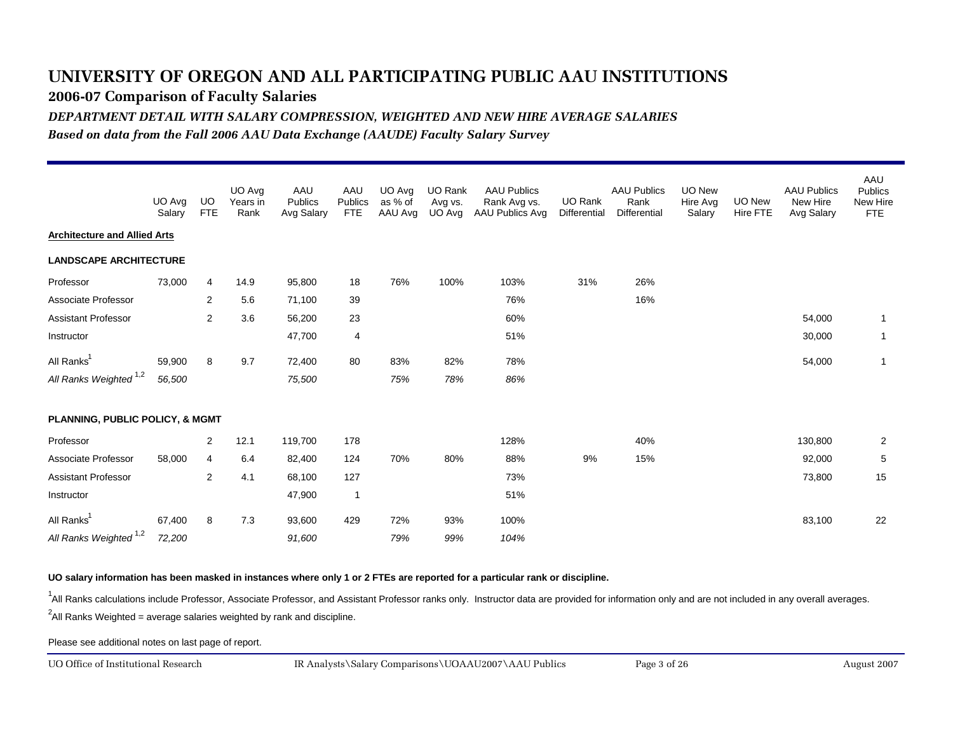**2006-07 Comparison of Faculty Salaries**

*DEPARTMENT DETAIL WITH SALARY COMPRESSION, WEIGHTED AND NEW HIRE AVERAGE SALARIES*

*Based on data from the Fall 2006 AAU Data Exchange (AAUDE) Faculty Salary Survey*

|                                     | UO Avg<br>Salary | UO.<br><b>FTE</b> | UO Avg<br>Years in<br>Rank | AAU<br>Publics<br>Avg Salary | AAU<br>Publics<br><b>FTE</b> | UO Avg<br>as % of<br>AAU Avg | UO Rank<br>Avg vs.<br>UO Avg | <b>AAU Publics</b><br>Rank Avg vs.<br>AAU Publics Avg | <b>UO Rank</b><br>Differential | <b>AAU Publics</b><br>Rank<br><b>Differential</b> | UO New<br>Hire Avg<br>Salary | <b>UO New</b><br>Hire FTE | <b>AAU Publics</b><br>New Hire<br>Avg Salary | AAU<br><b>Publics</b><br>New Hire<br>FTE |
|-------------------------------------|------------------|-------------------|----------------------------|------------------------------|------------------------------|------------------------------|------------------------------|-------------------------------------------------------|--------------------------------|---------------------------------------------------|------------------------------|---------------------------|----------------------------------------------|------------------------------------------|
| <b>Architecture and Allied Arts</b> |                  |                   |                            |                              |                              |                              |                              |                                                       |                                |                                                   |                              |                           |                                              |                                          |
| <b>LANDSCAPE ARCHITECTURE</b>       |                  |                   |                            |                              |                              |                              |                              |                                                       |                                |                                                   |                              |                           |                                              |                                          |
| Professor                           | 73,000           | 4                 | 14.9                       | 95,800                       | 18                           | 76%                          | 100%                         | 103%                                                  | 31%                            | 26%                                               |                              |                           |                                              |                                          |
| Associate Professor                 |                  | 2                 | 5.6                        | 71,100                       | 39                           |                              |                              | 76%                                                   |                                | 16%                                               |                              |                           |                                              |                                          |
| <b>Assistant Professor</b>          |                  | $\overline{2}$    | 3.6                        | 56,200                       | 23                           |                              |                              | 60%                                                   |                                |                                                   |                              |                           | 54,000                                       | $\overline{1}$                           |
| Instructor                          |                  |                   |                            | 47,700                       | $\overline{\mathbf{4}}$      |                              |                              | 51%                                                   |                                |                                                   |                              |                           | 30,000                                       | -1                                       |
| All Ranks <sup>1</sup>              | 59,900           | 8                 | 9.7                        | 72,400                       | 80                           | 83%                          | 82%                          | 78%                                                   |                                |                                                   |                              |                           | 54,000                                       | $\overline{1}$                           |
| All Ranks Weighted <sup>1,2</sup>   | 56,500           |                   |                            | 75,500                       |                              | 75%                          | 78%                          | 86%                                                   |                                |                                                   |                              |                           |                                              |                                          |
| PLANNING, PUBLIC POLICY, & MGMT     |                  |                   |                            |                              |                              |                              |                              |                                                       |                                |                                                   |                              |                           |                                              |                                          |
| Professor                           |                  | 2                 | 12.1                       | 119,700                      | 178                          |                              |                              | 128%                                                  |                                | 40%                                               |                              |                           | 130,800                                      | $\overline{2}$                           |
| Associate Professor                 | 58,000           | $\overline{4}$    | 6.4                        | 82,400                       | 124                          | 70%                          | 80%                          | 88%                                                   | 9%                             | 15%                                               |                              |                           | 92,000                                       | 5                                        |
| <b>Assistant Professor</b>          |                  | $\mathbf{2}$      | 4.1                        | 68,100                       | 127                          |                              |                              | 73%                                                   |                                |                                                   |                              |                           | 73,800                                       | 15                                       |
| Instructor                          |                  |                   |                            | 47,900                       | $\overline{1}$               |                              |                              | 51%                                                   |                                |                                                   |                              |                           |                                              |                                          |
| All Ranks <sup>1</sup>              | 67,400           | 8                 | 7.3                        | 93,600                       | 429                          | 72%                          | 93%                          | 100%                                                  |                                |                                                   |                              |                           | 83,100                                       | 22                                       |
| All Ranks Weighted <sup>1,2</sup>   | 72,200           |                   |                            | 91,600                       |                              | 79%                          | 99%                          | 104%                                                  |                                |                                                   |                              |                           |                                              |                                          |

**UO salary information has been masked in instances where only 1 or 2 FTEs are reported for a particular rank or discipline.**

<sup>1</sup>All Ranks calculations include Professor, Associate Professor, and Assistant Professor ranks only. Instructor data are provided for information only and are not included in any overall averages.

 $^2$ All Ranks Weighted = average salaries weighted by rank and discipline.

Please see additional notes on last page of report.

UO Office of Institutional Research

August 2007 IR Analysts\Salary Comparisons\UOAAU2007\AAU Publics Page 3 of 26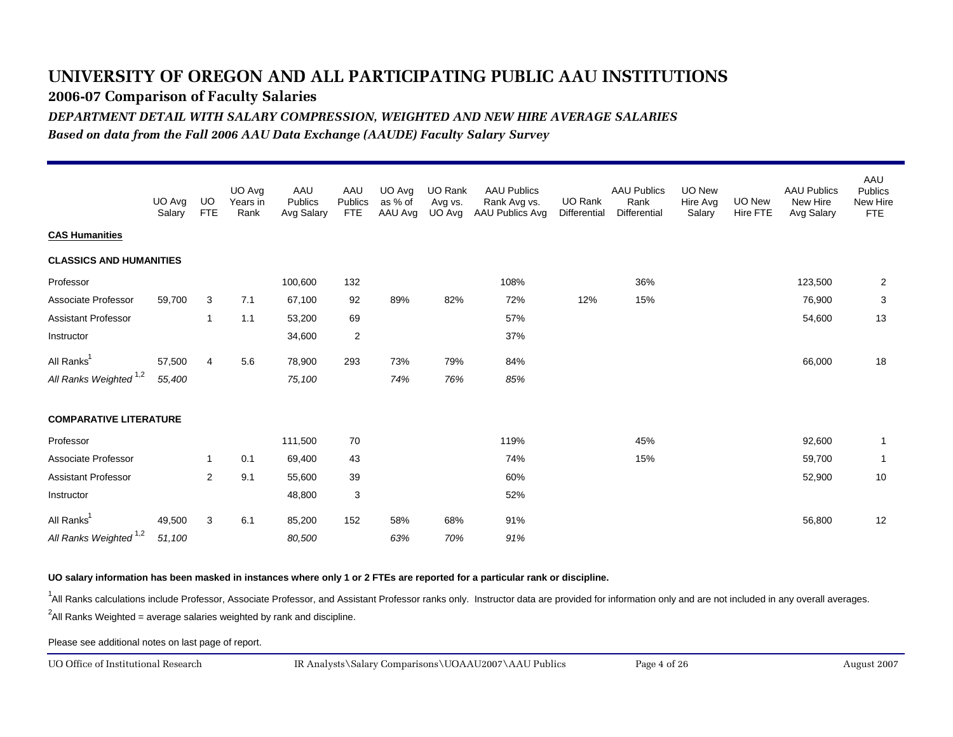**2006-07 Comparison of Faculty Salaries**

*DEPARTMENT DETAIL WITH SALARY COMPRESSION, WEIGHTED AND NEW HIRE AVERAGE SALARIES*

*Based on data from the Fall 2006 AAU Data Exchange (AAUDE) Faculty Salary Survey*

|                                   | UO Avg<br>Salary | UO<br><b>FTE</b> | UO Avg<br>Years in<br>Rank | AAU<br>Publics<br>Avg Salary | AAU<br>Publics<br><b>FTE</b> | UO Avg<br>as % of<br>AAU Avg | UO Rank<br>Avg vs.<br>UO Avg | <b>AAU Publics</b><br>Rank Avg vs.<br>AAU Publics Avg | UO Rank<br>Differential | <b>AAU Publics</b><br>Rank<br><b>Differential</b> | <b>UO New</b><br>Hire Avg<br>Salary | UO New<br>Hire FTE | <b>AAU Publics</b><br>New Hire<br>Avg Salary | AAU<br><b>Publics</b><br>New Hire<br>FTE |
|-----------------------------------|------------------|------------------|----------------------------|------------------------------|------------------------------|------------------------------|------------------------------|-------------------------------------------------------|-------------------------|---------------------------------------------------|-------------------------------------|--------------------|----------------------------------------------|------------------------------------------|
| <b>CAS Humanities</b>             |                  |                  |                            |                              |                              |                              |                              |                                                       |                         |                                                   |                                     |                    |                                              |                                          |
| <b>CLASSICS AND HUMANITIES</b>    |                  |                  |                            |                              |                              |                              |                              |                                                       |                         |                                                   |                                     |                    |                                              |                                          |
| Professor                         |                  |                  |                            | 100,600                      | 132                          |                              |                              | 108%                                                  |                         | 36%                                               |                                     |                    | 123,500                                      | $\overline{2}$                           |
| Associate Professor               | 59,700           | 3                | 7.1                        | 67,100                       | 92                           | 89%                          | 82%                          | 72%                                                   | 12%                     | 15%                                               |                                     |                    | 76,900                                       | 3                                        |
| <b>Assistant Professor</b>        |                  | $\mathbf{1}$     | 1.1                        | 53,200                       | 69                           |                              |                              | 57%                                                   |                         |                                                   |                                     |                    | 54,600                                       | 13                                       |
| Instructor                        |                  |                  |                            | 34,600                       | $\boldsymbol{2}$             |                              |                              | 37%                                                   |                         |                                                   |                                     |                    |                                              |                                          |
| All Ranks <sup>1</sup>            | 57,500           | $\overline{4}$   | 5.6                        | 78,900                       | 293                          | 73%                          | 79%                          | 84%                                                   |                         |                                                   |                                     |                    | 66,000                                       | 18                                       |
| All Ranks Weighted <sup>1,2</sup> | 55,400           |                  |                            | 75,100                       |                              | 74%                          | 76%                          | 85%                                                   |                         |                                                   |                                     |                    |                                              |                                          |
| <b>COMPARATIVE LITERATURE</b>     |                  |                  |                            |                              |                              |                              |                              |                                                       |                         |                                                   |                                     |                    |                                              |                                          |
| Professor                         |                  |                  |                            | 111,500                      | 70                           |                              |                              | 119%                                                  |                         | 45%                                               |                                     |                    | 92,600                                       | $\overline{1}$                           |
| Associate Professor               |                  | 1                | 0.1                        | 69,400                       | 43                           |                              |                              | 74%                                                   |                         | 15%                                               |                                     |                    | 59,700                                       | -1                                       |
| <b>Assistant Professor</b>        |                  | $\overline{2}$   | 9.1                        | 55,600                       | 39                           |                              |                              | 60%                                                   |                         |                                                   |                                     |                    | 52,900                                       | 10                                       |
| Instructor                        |                  |                  |                            | 48,800                       | 3                            |                              |                              | 52%                                                   |                         |                                                   |                                     |                    |                                              |                                          |
| All Ranks <sup>1</sup>            | 49,500           | 3                | 6.1                        | 85,200                       | 152                          | 58%                          | 68%                          | 91%                                                   |                         |                                                   |                                     |                    | 56,800                                       | 12                                       |
| All Ranks Weighted <sup>1,2</sup> | 51,100           |                  |                            | 80,500                       |                              | 63%                          | 70%                          | 91%                                                   |                         |                                                   |                                     |                    |                                              |                                          |

#### **UO salary information has been masked in instances where only 1 or 2 FTEs are reported for a particular rank or discipline.**

<sup>1</sup>All Ranks calculations include Professor, Associate Professor, and Assistant Professor ranks only. Instructor data are provided for information only and are not included in any overall averages.

 $^2$ All Ranks Weighted = average salaries weighted by rank and discipline.

Please see additional notes on last page of report.

UO Office of Institutional Research

August 2007 IR Analysts\Salary Comparisons\UOAAU2007\AAU Publics Page 4 of 26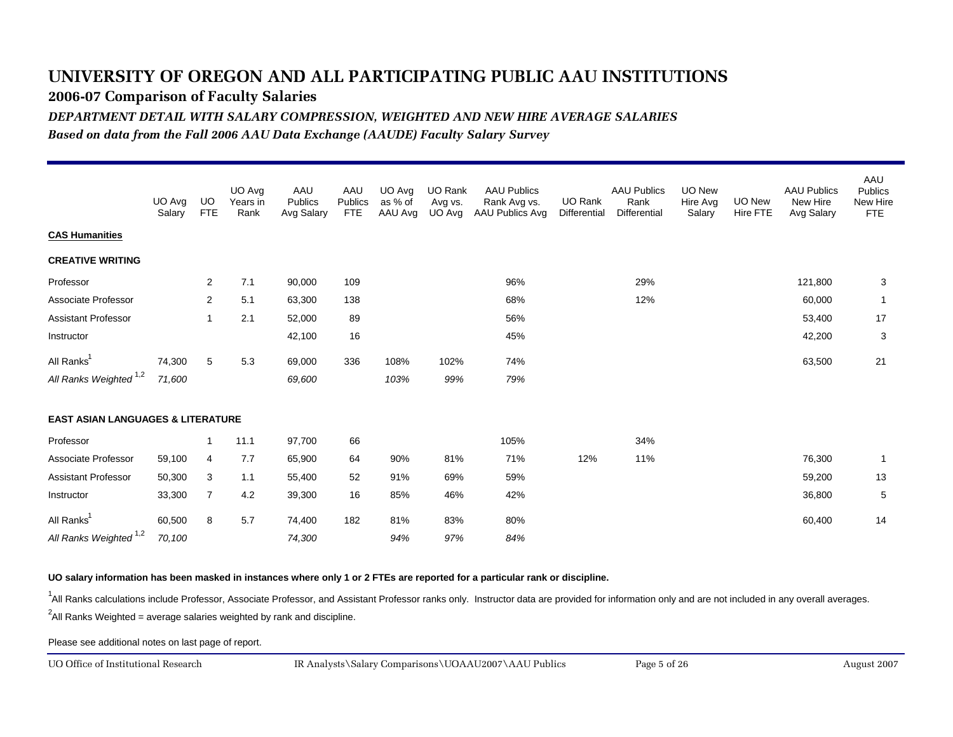**2006-07 Comparison of Faculty Salaries**

*DEPARTMENT DETAIL WITH SALARY COMPRESSION, WEIGHTED AND NEW HIRE AVERAGE SALARIES*

*Based on data from the Fall 2006 AAU Data Exchange (AAUDE) Faculty Salary Survey*

|                                              | UO Avg<br>Salary | UO.<br><b>FTE</b> | UO Avg<br>Years in<br>Rank | AAU<br>Publics<br>Avg Salary | AAU<br>Publics<br><b>FTE</b> | UO Avg<br>as % of<br>AAU Avg | UO Rank<br>Avg vs.<br>UO Avg | <b>AAU Publics</b><br>Rank Avg vs.<br>AAU Publics Avg | <b>UO Rank</b><br>Differential | <b>AAU Publics</b><br>Rank<br><b>Differential</b> | UO New<br>Hire Avg<br>Salary | UO New<br>Hire FTE | <b>AAU Publics</b><br>New Hire<br>Avg Salary | AAU<br><b>Publics</b><br>New Hire<br><b>FTE</b> |
|----------------------------------------------|------------------|-------------------|----------------------------|------------------------------|------------------------------|------------------------------|------------------------------|-------------------------------------------------------|--------------------------------|---------------------------------------------------|------------------------------|--------------------|----------------------------------------------|-------------------------------------------------|
| <b>CAS Humanities</b>                        |                  |                   |                            |                              |                              |                              |                              |                                                       |                                |                                                   |                              |                    |                                              |                                                 |
| <b>CREATIVE WRITING</b>                      |                  |                   |                            |                              |                              |                              |                              |                                                       |                                |                                                   |                              |                    |                                              |                                                 |
| Professor                                    |                  | 2                 | 7.1                        | 90,000                       | 109                          |                              |                              | 96%                                                   |                                | 29%                                               |                              |                    | 121,800                                      | 3                                               |
| Associate Professor                          |                  | 2                 | 5.1                        | 63,300                       | 138                          |                              |                              | 68%                                                   |                                | 12%                                               |                              |                    | 60,000                                       | $\overline{1}$                                  |
| <b>Assistant Professor</b>                   |                  | 1                 | 2.1                        | 52,000                       | 89                           |                              |                              | 56%                                                   |                                |                                                   |                              |                    | 53,400                                       | 17                                              |
| Instructor                                   |                  |                   |                            | 42,100                       | 16                           |                              |                              | 45%                                                   |                                |                                                   |                              |                    | 42,200                                       | 3                                               |
| All Ranks <sup>1</sup>                       | 74,300           | 5                 | 5.3                        | 69,000                       | 336                          | 108%                         | 102%                         | 74%                                                   |                                |                                                   |                              |                    | 63,500                                       | 21                                              |
| All Ranks Weighted <sup>1,2</sup>            | 71,600           |                   |                            | 69,600                       |                              | 103%                         | 99%                          | 79%                                                   |                                |                                                   |                              |                    |                                              |                                                 |
| <b>EAST ASIAN LANGUAGES &amp; LITERATURE</b> |                  |                   |                            |                              |                              |                              |                              |                                                       |                                |                                                   |                              |                    |                                              |                                                 |
| Professor                                    |                  | 1                 | 11.1                       | 97,700                       | 66                           |                              |                              | 105%                                                  |                                | 34%                                               |                              |                    |                                              |                                                 |
| Associate Professor                          | 59,100           | $\overline{4}$    | 7.7                        | 65,900                       | 64                           | 90%                          | 81%                          | 71%                                                   | 12%                            | 11%                                               |                              |                    | 76,300                                       | $\mathbf{1}$                                    |
| <b>Assistant Professor</b>                   | 50,300           | 3                 | 1.1                        | 55,400                       | 52                           | 91%                          | 69%                          | 59%                                                   |                                |                                                   |                              |                    | 59,200                                       | 13                                              |
| Instructor                                   | 33,300           | $\overline{7}$    | 4.2                        | 39,300                       | 16                           | 85%                          | 46%                          | 42%                                                   |                                |                                                   |                              |                    | 36,800                                       | 5                                               |
| All Ranks <sup>1</sup>                       | 60,500           | 8                 | 5.7                        | 74,400                       | 182                          | 81%                          | 83%                          | 80%                                                   |                                |                                                   |                              |                    | 60,400                                       | 14                                              |
| All Ranks Weighted <sup>1,2</sup>            | 70,100           |                   |                            | 74,300                       |                              | 94%                          | 97%                          | 84%                                                   |                                |                                                   |                              |                    |                                              |                                                 |

**UO salary information has been masked in instances where only 1 or 2 FTEs are reported for a particular rank or discipline.**

<sup>1</sup>All Ranks calculations include Professor, Associate Professor, and Assistant Professor ranks only. Instructor data are provided for information only and are not included in any overall averages.

 $^2$ All Ranks Weighted = average salaries weighted by rank and discipline.

Please see additional notes on last page of report.

UO Office of Institutional Research

August 2007 IR Analysts\Salary Comparisons\UOAAU2007\AAU Publics Page 5 of 26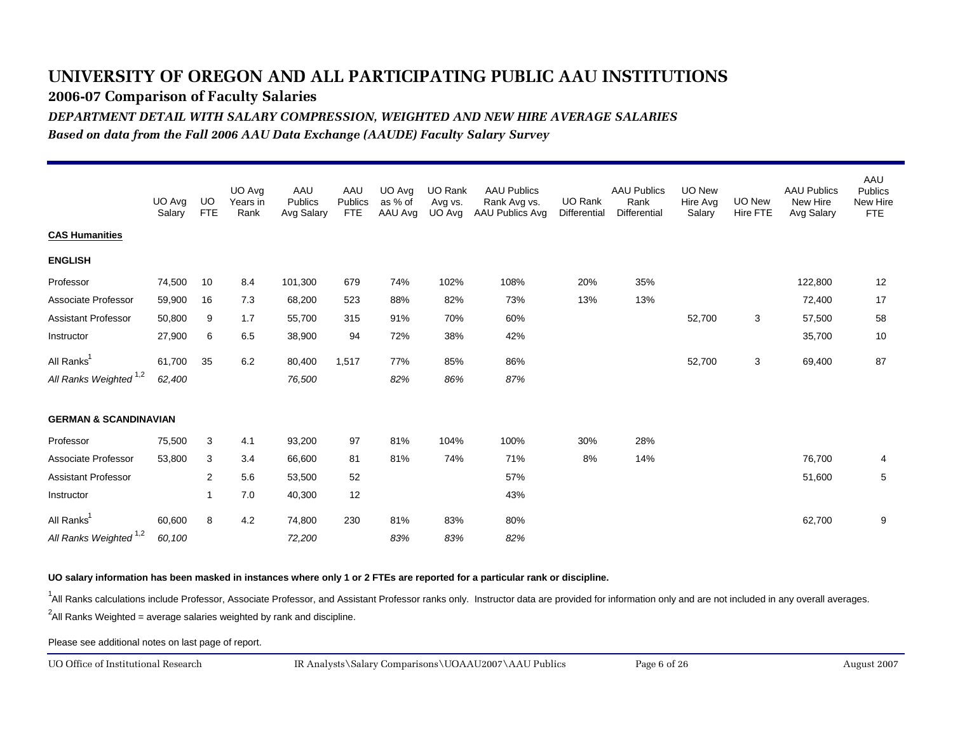**2006-07 Comparison of Faculty Salaries**

*DEPARTMENT DETAIL WITH SALARY COMPRESSION, WEIGHTED AND NEW HIRE AVERAGE SALARIES*

*Based on data from the Fall 2006 AAU Data Exchange (AAUDE) Faculty Salary Survey*

|                                   | UO Avg<br>Salary | UO.<br><b>FTE</b> | UO Avg<br>Years in<br>Rank | AAU<br>Publics<br>Avg Salary | AAU<br>Publics<br><b>FTE</b> | UO Avg<br>as % of<br>AAU Avg | UO Rank<br>Avg vs.<br>UO Avg | <b>AAU Publics</b><br>Rank Avg vs.<br>AAU Publics Avg | <b>UO Rank</b><br>Differential | <b>AAU Publics</b><br>Rank<br><b>Differential</b> | UO New<br>Hire Avg<br>Salary | <b>UO New</b><br>Hire FTE | <b>AAU Publics</b><br>New Hire<br>Avg Salary | AAU<br><b>Publics</b><br>New Hire<br>FTE |
|-----------------------------------|------------------|-------------------|----------------------------|------------------------------|------------------------------|------------------------------|------------------------------|-------------------------------------------------------|--------------------------------|---------------------------------------------------|------------------------------|---------------------------|----------------------------------------------|------------------------------------------|
| <b>CAS Humanities</b>             |                  |                   |                            |                              |                              |                              |                              |                                                       |                                |                                                   |                              |                           |                                              |                                          |
| <b>ENGLISH</b>                    |                  |                   |                            |                              |                              |                              |                              |                                                       |                                |                                                   |                              |                           |                                              |                                          |
| Professor                         | 74,500           | 10                | 8.4                        | 101,300                      | 679                          | 74%                          | 102%                         | 108%                                                  | 20%                            | 35%                                               |                              |                           | 122,800                                      | 12                                       |
| Associate Professor               | 59,900           | 16                | 7.3                        | 68,200                       | 523                          | 88%                          | 82%                          | 73%                                                   | 13%                            | 13%                                               |                              |                           | 72,400                                       | 17                                       |
| <b>Assistant Professor</b>        | 50,800           | 9                 | 1.7                        | 55,700                       | 315                          | 91%                          | 70%                          | 60%                                                   |                                |                                                   | 52,700                       | 3                         | 57,500                                       | 58                                       |
| Instructor                        | 27,900           | 6                 | 6.5                        | 38,900                       | 94                           | 72%                          | 38%                          | 42%                                                   |                                |                                                   |                              |                           | 35,700                                       | 10                                       |
| All Ranks <sup>1</sup>            | 61,700           | 35                | 6.2                        | 80,400                       | 1,517                        | 77%                          | 85%                          | 86%                                                   |                                |                                                   | 52,700                       | 3                         | 69,400                                       | 87                                       |
| All Ranks Weighted <sup>1,2</sup> | 62,400           |                   |                            | 76,500                       |                              | 82%                          | 86%                          | 87%                                                   |                                |                                                   |                              |                           |                                              |                                          |
| <b>GERMAN &amp; SCANDINAVIAN</b>  |                  |                   |                            |                              |                              |                              |                              |                                                       |                                |                                                   |                              |                           |                                              |                                          |
| Professor                         | 75,500           | 3                 | 4.1                        | 93,200                       | 97                           | 81%                          | 104%                         | 100%                                                  | 30%                            | 28%                                               |                              |                           |                                              |                                          |
| Associate Professor               | 53,800           | 3                 | 3.4                        | 66,600                       | 81                           | 81%                          | 74%                          | 71%                                                   | 8%                             | 14%                                               |                              |                           | 76,700                                       | 4                                        |
| <b>Assistant Professor</b>        |                  | $\mathbf{2}$      | 5.6                        | 53,500                       | 52                           |                              |                              | 57%                                                   |                                |                                                   |                              |                           | 51,600                                       | 5                                        |
| Instructor                        |                  | 1                 | 7.0                        | 40,300                       | 12                           |                              |                              | 43%                                                   |                                |                                                   |                              |                           |                                              |                                          |
| All Ranks <sup>1</sup>            | 60,600           | 8                 | 4.2                        | 74,800                       | 230                          | 81%                          | 83%                          | 80%                                                   |                                |                                                   |                              |                           | 62,700                                       | 9                                        |
| All Ranks Weighted <sup>1,2</sup> | 60,100           |                   |                            | 72,200                       |                              | 83%                          | 83%                          | 82%                                                   |                                |                                                   |                              |                           |                                              |                                          |

**UO salary information has been masked in instances where only 1 or 2 FTEs are reported for a particular rank or discipline.**

<sup>1</sup>All Ranks calculations include Professor, Associate Professor, and Assistant Professor ranks only. Instructor data are provided for information only and are not included in any overall averages.

 $^2$ All Ranks Weighted = average salaries weighted by rank and discipline.

Please see additional notes on last page of report.

UO Office of Institutional Research

August 2007 IR Analysts\Salary Comparisons\UOAAU2007\AAU Publics Page 6 of 26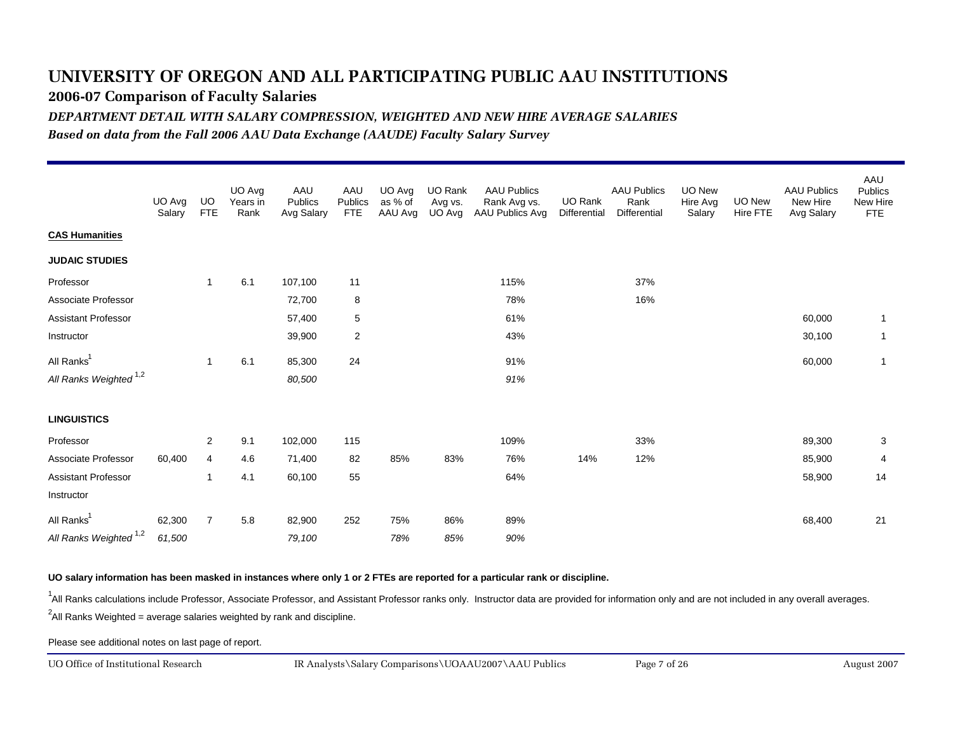**2006-07 Comparison of Faculty Salaries**

*DEPARTMENT DETAIL WITH SALARY COMPRESSION, WEIGHTED AND NEW HIRE AVERAGE SALARIES*

*Based on data from the Fall 2006 AAU Data Exchange (AAUDE) Faculty Salary Survey*

|                                   | UO Avg<br>Salary | UO.<br><b>FTE</b> | UO Avg<br>Years in<br>Rank | AAU<br>Publics<br>Avg Salary | AAU<br>Publics<br><b>FTE</b> | UO Avg<br>as % of<br>AAU Avg | UO Rank<br>Avg vs.<br>UO Avg | <b>AAU Publics</b><br>Rank Avg vs.<br>AAU Publics Avg | UO Rank<br>Differential | <b>AAU Publics</b><br>Rank<br>Differential | UO New<br>Hire Avg<br>Salary | UO New<br>Hire FTE | <b>AAU Publics</b><br>New Hire<br>Avg Salary | AAU<br><b>Publics</b><br>New Hire<br><b>FTE</b> |
|-----------------------------------|------------------|-------------------|----------------------------|------------------------------|------------------------------|------------------------------|------------------------------|-------------------------------------------------------|-------------------------|--------------------------------------------|------------------------------|--------------------|----------------------------------------------|-------------------------------------------------|
| <b>CAS Humanities</b>             |                  |                   |                            |                              |                              |                              |                              |                                                       |                         |                                            |                              |                    |                                              |                                                 |
| <b>JUDAIC STUDIES</b>             |                  |                   |                            |                              |                              |                              |                              |                                                       |                         |                                            |                              |                    |                                              |                                                 |
| Professor                         |                  | $\overline{1}$    | 6.1                        | 107,100                      | 11                           |                              |                              | 115%                                                  |                         | 37%                                        |                              |                    |                                              |                                                 |
| Associate Professor               |                  |                   |                            | 72,700                       | 8                            |                              |                              | 78%                                                   |                         | 16%                                        |                              |                    |                                              |                                                 |
| <b>Assistant Professor</b>        |                  |                   |                            | 57,400                       | 5                            |                              |                              | 61%                                                   |                         |                                            |                              |                    | 60,000                                       | $\overline{1}$                                  |
| Instructor                        |                  |                   |                            | 39,900                       | $\overline{2}$               |                              |                              | 43%                                                   |                         |                                            |                              |                    | 30,100                                       | $\overline{1}$                                  |
| All Ranks <sup>1</sup>            |                  | $\mathbf{1}$      | 6.1                        | 85,300                       | 24                           |                              |                              | 91%                                                   |                         |                                            |                              |                    | 60,000                                       | $\overline{1}$                                  |
| All Ranks Weighted <sup>1,2</sup> |                  |                   |                            | 80,500                       |                              |                              |                              | 91%                                                   |                         |                                            |                              |                    |                                              |                                                 |
| <b>LINGUISTICS</b>                |                  |                   |                            |                              |                              |                              |                              |                                                       |                         |                                            |                              |                    |                                              |                                                 |
| Professor                         |                  | $\overline{c}$    | 9.1                        | 102,000                      | 115                          |                              |                              | 109%                                                  |                         | 33%                                        |                              |                    | 89,300                                       | 3                                               |
| Associate Professor               | 60,400           | 4                 | 4.6                        | 71,400                       | 82                           | 85%                          | 83%                          | 76%                                                   | 14%                     | 12%                                        |                              |                    | 85,900                                       | 4                                               |
| Assistant Professor               |                  | $\overline{1}$    | 4.1                        | 60,100                       | 55                           |                              |                              | 64%                                                   |                         |                                            |                              |                    | 58,900                                       | 14                                              |
| Instructor                        |                  |                   |                            |                              |                              |                              |                              |                                                       |                         |                                            |                              |                    |                                              |                                                 |
| All Ranks <sup>1</sup>            | 62,300           | $\overline{7}$    | 5.8                        | 82,900                       | 252                          | 75%                          | 86%                          | 89%                                                   |                         |                                            |                              |                    | 68,400                                       | 21                                              |
| All Ranks Weighted <sup>1,2</sup> | 61,500           |                   |                            | 79,100                       |                              | 78%                          | 85%                          | 90%                                                   |                         |                                            |                              |                    |                                              |                                                 |

### **UO salary information has been masked in instances where only 1 or 2 FTEs are reported for a particular rank or discipline.**

<sup>1</sup>All Ranks calculations include Professor, Associate Professor, and Assistant Professor ranks only. Instructor data are provided for information only and are not included in any overall averages.

 $^2$ All Ranks Weighted = average salaries weighted by rank and discipline.

Please see additional notes on last page of report.

UO Office of Institutional Research

August 2007 IR Analysts\Salary Comparisons\UOAAU2007\AAU Publics Page 7 of 26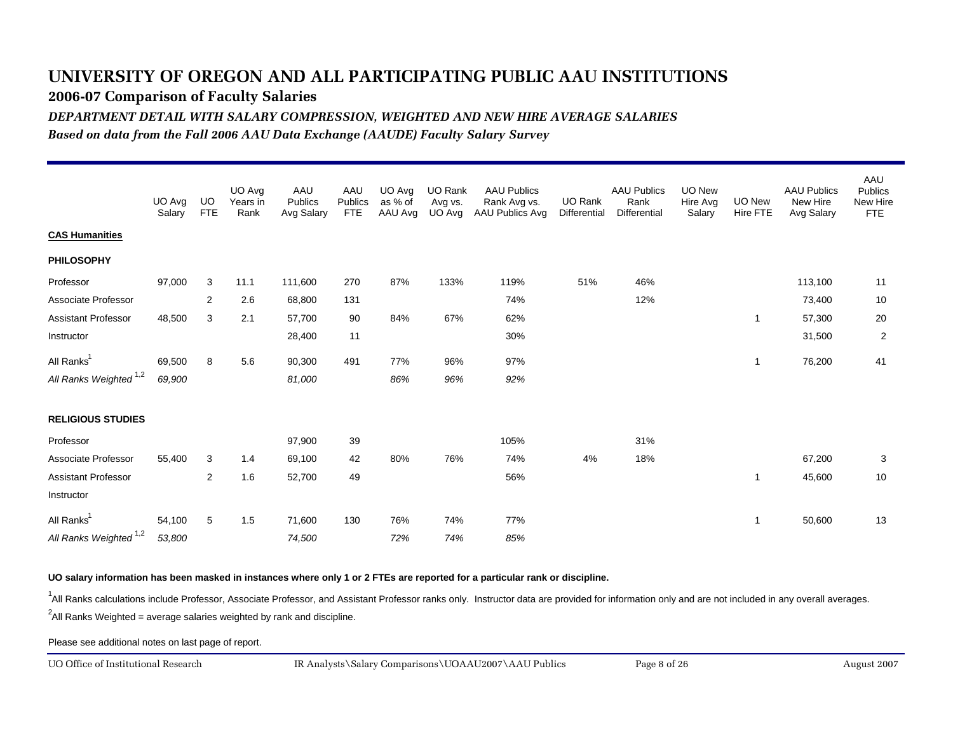**2006-07 Comparison of Faculty Salaries**

*DEPARTMENT DETAIL WITH SALARY COMPRESSION, WEIGHTED AND NEW HIRE AVERAGE SALARIES*

*Based on data from the Fall 2006 AAU Data Exchange (AAUDE) Faculty Salary Survey*

|                                   | UO Avg<br>Salary | <b>UO</b><br><b>FTE</b> | UO Avg<br>Years in<br>Rank | AAU<br>Publics<br>Avg Salary | AAU<br>Publics<br><b>FTE</b> | UO Avg<br>as % of<br>AAU Avg | UO Rank<br>Avg vs.<br>UO Avg | <b>AAU Publics</b><br>Rank Avg vs.<br>AAU Publics Avg | UO Rank<br>Differential | <b>AAU Publics</b><br>Rank<br>Differential | <b>UO New</b><br>Hire Avg<br>Salary | UO New<br>Hire FTE | <b>AAU Publics</b><br>New Hire<br>Avg Salary | AAU<br><b>Publics</b><br>New Hire<br><b>FTE</b> |
|-----------------------------------|------------------|-------------------------|----------------------------|------------------------------|------------------------------|------------------------------|------------------------------|-------------------------------------------------------|-------------------------|--------------------------------------------|-------------------------------------|--------------------|----------------------------------------------|-------------------------------------------------|
| <b>CAS Humanities</b>             |                  |                         |                            |                              |                              |                              |                              |                                                       |                         |                                            |                                     |                    |                                              |                                                 |
| <b>PHILOSOPHY</b>                 |                  |                         |                            |                              |                              |                              |                              |                                                       |                         |                                            |                                     |                    |                                              |                                                 |
| Professor                         | 97,000           | 3                       | 11.1                       | 111,600                      | 270                          | 87%                          | 133%                         | 119%                                                  | 51%                     | 46%                                        |                                     |                    | 113,100                                      | 11                                              |
| Associate Professor               |                  | 2                       | 2.6                        | 68,800                       | 131                          |                              |                              | 74%                                                   |                         | 12%                                        |                                     |                    | 73,400                                       | 10                                              |
| <b>Assistant Professor</b>        | 48,500           | 3                       | 2.1                        | 57,700                       | 90                           | 84%                          | 67%                          | 62%                                                   |                         |                                            |                                     | -1                 | 57,300                                       | 20                                              |
| Instructor                        |                  |                         |                            | 28,400                       | 11                           |                              |                              | 30%                                                   |                         |                                            |                                     |                    | 31,500                                       | $\overline{2}$                                  |
| All Ranks <sup>1</sup>            | 69,500           | 8                       | 5.6                        | 90,300                       | 491                          | 77%                          | 96%                          | 97%                                                   |                         |                                            |                                     | $\mathbf{1}$       | 76,200                                       | 41                                              |
| All Ranks Weighted <sup>1,2</sup> | 69,900           |                         |                            | 81,000                       |                              | 86%                          | 96%                          | 92%                                                   |                         |                                            |                                     |                    |                                              |                                                 |
| <b>RELIGIOUS STUDIES</b>          |                  |                         |                            |                              |                              |                              |                              |                                                       |                         |                                            |                                     |                    |                                              |                                                 |
| Professor                         |                  |                         |                            | 97,900                       | 39                           |                              |                              | 105%                                                  |                         | 31%                                        |                                     |                    |                                              |                                                 |
| Associate Professor               | 55,400           | 3                       | 1.4                        | 69,100                       | 42                           | 80%                          | 76%                          | 74%                                                   | 4%                      | 18%                                        |                                     |                    | 67,200                                       | 3                                               |
| <b>Assistant Professor</b>        |                  | $\overline{c}$          | 1.6                        | 52,700                       | 49                           |                              |                              | 56%                                                   |                         |                                            |                                     | 1                  | 45,600                                       | 10                                              |
| Instructor                        |                  |                         |                            |                              |                              |                              |                              |                                                       |                         |                                            |                                     |                    |                                              |                                                 |
| All Ranks <sup>1</sup>            | 54,100           | 5                       | 1.5                        | 71,600                       | 130                          | 76%                          | 74%                          | 77%                                                   |                         |                                            |                                     | -1                 | 50,600                                       | 13                                              |
| All Ranks Weighted <sup>1,2</sup> | 53,800           |                         |                            | 74,500                       |                              | 72%                          | 74%                          | 85%                                                   |                         |                                            |                                     |                    |                                              |                                                 |

**UO salary information has been masked in instances where only 1 or 2 FTEs are reported for a particular rank or discipline.**

<sup>1</sup>All Ranks calculations include Professor, Associate Professor, and Assistant Professor ranks only. Instructor data are provided for information only and are not included in any overall averages.

 $^2$ All Ranks Weighted = average salaries weighted by rank and discipline.

Please see additional notes on last page of report.

UO Office of Institutional Research

August 2007 IR Analysts\Salary Comparisons\UOAAU2007\AAU Publics Page 8 of 26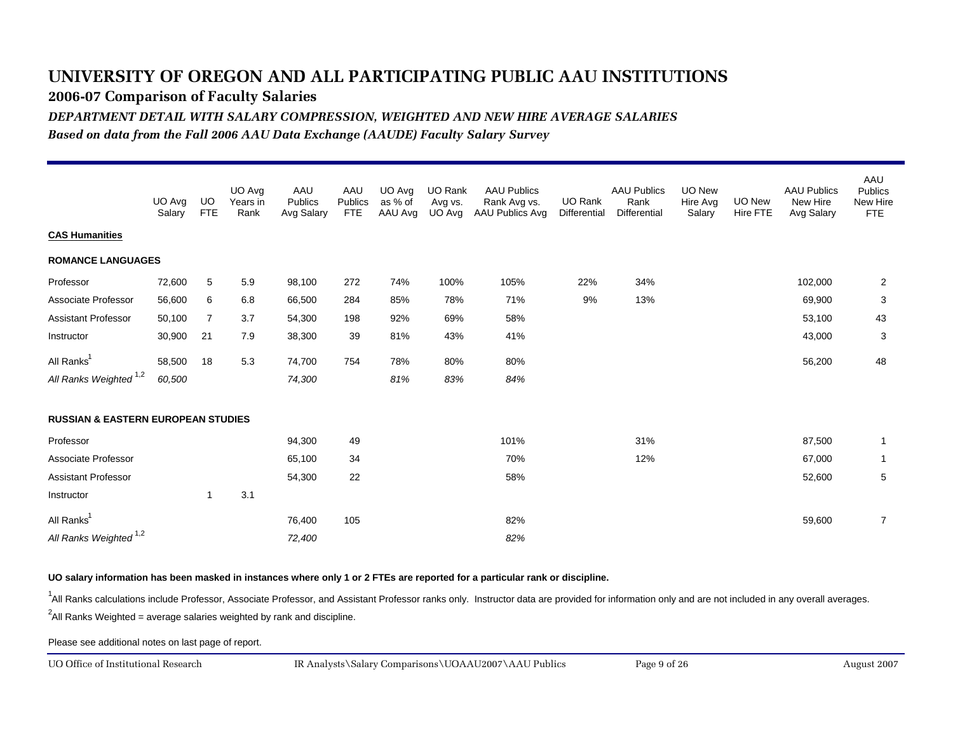**2006-07 Comparison of Faculty Salaries**

*DEPARTMENT DETAIL WITH SALARY COMPRESSION, WEIGHTED AND NEW HIRE AVERAGE SALARIES*

*Based on data from the Fall 2006 AAU Data Exchange (AAUDE) Faculty Salary Survey*

|                                               | UO Avg<br>Salary | UO.<br><b>FTE</b> | UO Avg<br>Years in<br>Rank | AAU<br>Publics<br>Avg Salary | AAU<br>Publics<br><b>FTE</b> | UO Avg<br>as % of<br>AAU Avg | UO Rank<br>Avg vs.<br>UO Avg | <b>AAU Publics</b><br>Rank Avg vs.<br>AAU Publics Avg | UO Rank<br>Differential | <b>AAU Publics</b><br>Rank<br><b>Differential</b> | <b>UO New</b><br>Hire Avg<br>Salary | UO New<br>Hire FTE | <b>AAU Publics</b><br>New Hire<br>Avg Salary | AAU<br><b>Publics</b><br>New Hire<br><b>FTE</b> |
|-----------------------------------------------|------------------|-------------------|----------------------------|------------------------------|------------------------------|------------------------------|------------------------------|-------------------------------------------------------|-------------------------|---------------------------------------------------|-------------------------------------|--------------------|----------------------------------------------|-------------------------------------------------|
| <b>CAS Humanities</b>                         |                  |                   |                            |                              |                              |                              |                              |                                                       |                         |                                                   |                                     |                    |                                              |                                                 |
| <b>ROMANCE LANGUAGES</b>                      |                  |                   |                            |                              |                              |                              |                              |                                                       |                         |                                                   |                                     |                    |                                              |                                                 |
| Professor                                     | 72,600           | 5                 | 5.9                        | 98,100                       | 272                          | 74%                          | 100%                         | 105%                                                  | 22%                     | 34%                                               |                                     |                    | 102,000                                      | 2                                               |
| Associate Professor                           | 56,600           | 6                 | 6.8                        | 66,500                       | 284                          | 85%                          | 78%                          | 71%                                                   | 9%                      | 13%                                               |                                     |                    | 69,900                                       | 3                                               |
| <b>Assistant Professor</b>                    | 50,100           | $\overline{7}$    | 3.7                        | 54,300                       | 198                          | 92%                          | 69%                          | 58%                                                   |                         |                                                   |                                     |                    | 53,100                                       | 43                                              |
| Instructor                                    | 30,900           | 21                | 7.9                        | 38,300                       | 39                           | 81%                          | 43%                          | 41%                                                   |                         |                                                   |                                     |                    | 43,000                                       | 3                                               |
| All Ranks <sup>1</sup>                        | 58,500           | 18                | 5.3                        | 74,700                       | 754                          | 78%                          | 80%                          | 80%                                                   |                         |                                                   |                                     |                    | 56,200                                       | 48                                              |
| All Ranks Weighted <sup>1,2</sup>             | 60,500           |                   |                            | 74,300                       |                              | 81%                          | 83%                          | 84%                                                   |                         |                                                   |                                     |                    |                                              |                                                 |
| <b>RUSSIAN &amp; EASTERN EUROPEAN STUDIES</b> |                  |                   |                            |                              |                              |                              |                              |                                                       |                         |                                                   |                                     |                    |                                              |                                                 |
| Professor                                     |                  |                   |                            | 94,300                       | 49                           |                              |                              | 101%                                                  |                         | 31%                                               |                                     |                    | 87,500                                       | $\overline{1}$                                  |
| Associate Professor                           |                  |                   |                            | 65,100                       | 34                           |                              |                              | 70%                                                   |                         | 12%                                               |                                     |                    | 67,000                                       | -1                                              |
| <b>Assistant Professor</b>                    |                  |                   |                            | 54,300                       | 22                           |                              |                              | 58%                                                   |                         |                                                   |                                     |                    | 52,600                                       | 5                                               |
| Instructor                                    |                  | -1                | 3.1                        |                              |                              |                              |                              |                                                       |                         |                                                   |                                     |                    |                                              |                                                 |
| All Ranks <sup>1</sup>                        |                  |                   |                            | 76,400                       | 105                          |                              |                              | 82%                                                   |                         |                                                   |                                     |                    | 59,600                                       | $\overline{7}$                                  |
| All Ranks Weighted <sup>1,2</sup>             |                  |                   |                            | 72,400                       |                              |                              |                              | 82%                                                   |                         |                                                   |                                     |                    |                                              |                                                 |

#### **UO salary information has been masked in instances where only 1 or 2 FTEs are reported for a particular rank or discipline.**

<sup>1</sup>All Ranks calculations include Professor, Associate Professor, and Assistant Professor ranks only. Instructor data are provided for information only and are not included in any overall averages.

 $^2$ All Ranks Weighted = average salaries weighted by rank and discipline.

Please see additional notes on last page of report.

UO Office of Institutional Research

August 2007 IR Analysts\Salary Comparisons\UOAAU2007\AAU Publics Page 9 of 26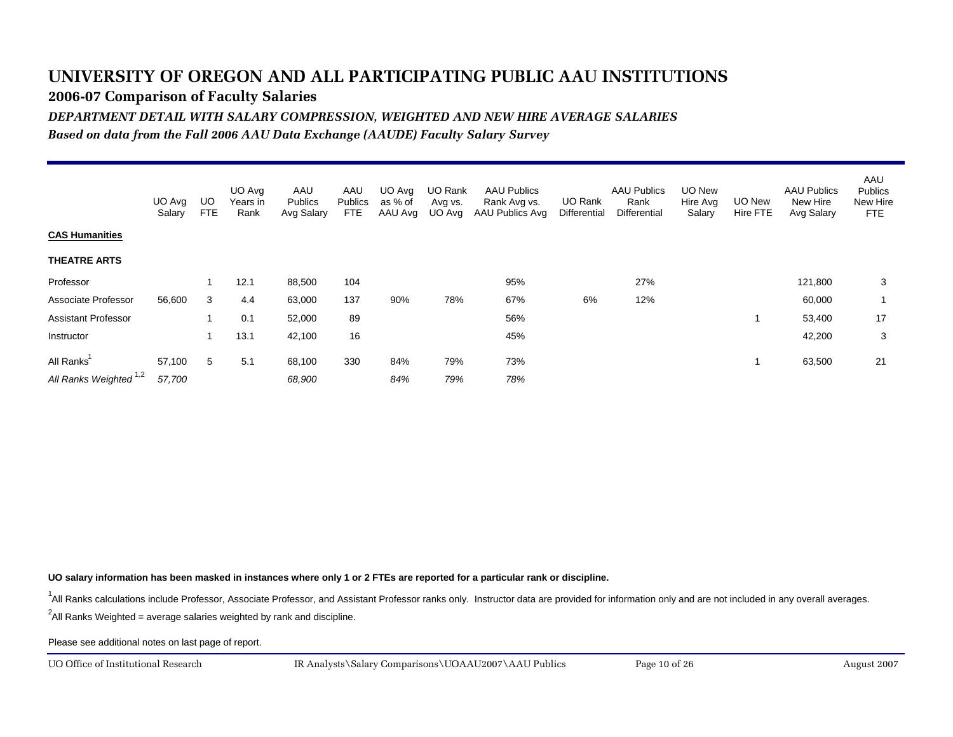**2006-07 Comparison of Faculty Salaries**

*DEPARTMENT DETAIL WITH SALARY COMPRESSION, WEIGHTED AND NEW HIRE AVERAGE SALARIES*

*Based on data from the Fall 2006 AAU Data Exchange (AAUDE) Faculty Salary Survey*

|                                                | UO Ava<br>Salary | UO<br><b>FTE</b> | UO Avg<br>Years in<br>Rank | AAU<br>Publics<br>Avg Salary | AAU<br>Publics<br><b>FTE</b> | UO Ava<br>as % of<br>AAU Avg | UO Rank<br>Avg vs.<br>UO Avg | <b>AAU Publics</b><br>Rank Avg vs.<br>AAU Publics Avg | UO Rank<br>Differential | <b>AAU Publics</b><br>Rank<br>Differential | UO New<br>Hire Avg<br>Salary | UO New<br><b>Hire FTE</b> | <b>AAU Publics</b><br>New Hire<br>Avg Salary | AAU<br><b>Publics</b><br>New Hire<br><b>FTE</b> |
|------------------------------------------------|------------------|------------------|----------------------------|------------------------------|------------------------------|------------------------------|------------------------------|-------------------------------------------------------|-------------------------|--------------------------------------------|------------------------------|---------------------------|----------------------------------------------|-------------------------------------------------|
| <b>CAS Humanities</b>                          |                  |                  |                            |                              |                              |                              |                              |                                                       |                         |                                            |                              |                           |                                              |                                                 |
| <b>THEATRE ARTS</b>                            |                  |                  |                            |                              |                              |                              |                              |                                                       |                         |                                            |                              |                           |                                              |                                                 |
| Professor                                      |                  |                  | 12.1                       | 88,500                       | 104                          |                              |                              | 95%                                                   |                         | 27%                                        |                              |                           | 121,800                                      | 3                                               |
| Associate Professor                            | 56,600           | 3                | 4.4                        | 63,000                       | 137                          | 90%                          | 78%                          | 67%                                                   | 6%                      | 12%                                        |                              |                           | 60,000                                       |                                                 |
| <b>Assistant Professor</b>                     |                  |                  | 0.1                        | 52,000                       | 89                           |                              |                              | 56%                                                   |                         |                                            |                              |                           | 53,400                                       | 17                                              |
| Instructor                                     |                  |                  | 13.1                       | 42,100                       | 16                           |                              |                              | 45%                                                   |                         |                                            |                              |                           | 42,200                                       | 3                                               |
| All Ranks<br>All Ranks Weighted <sup>1,2</sup> | 57,100<br>57,700 | 5                | 5.1                        | 68,100<br>68,900             | 330                          | 84%<br>84%                   | 79%<br>79%                   | 73%<br>78%                                            |                         |                                            |                              |                           | 63,500                                       | 21                                              |

**UO salary information has been masked in instances where only 1 or 2 FTEs are reported for a particular rank or discipline.**

<sup>1</sup>All Ranks calculations include Professor, Associate Professor, and Assistant Professor ranks only. Instructor data are provided for information only and are not included in any overall averages.

 $^2$ All Ranks Weighted = average salaries weighted by rank and discipline.

Please see additional notes on last page of report.

UO Office of Institutional Research

August 2007 IR Analysts\Salary Comparisons\UOAAU2007\AAU Publics Page 10 of 26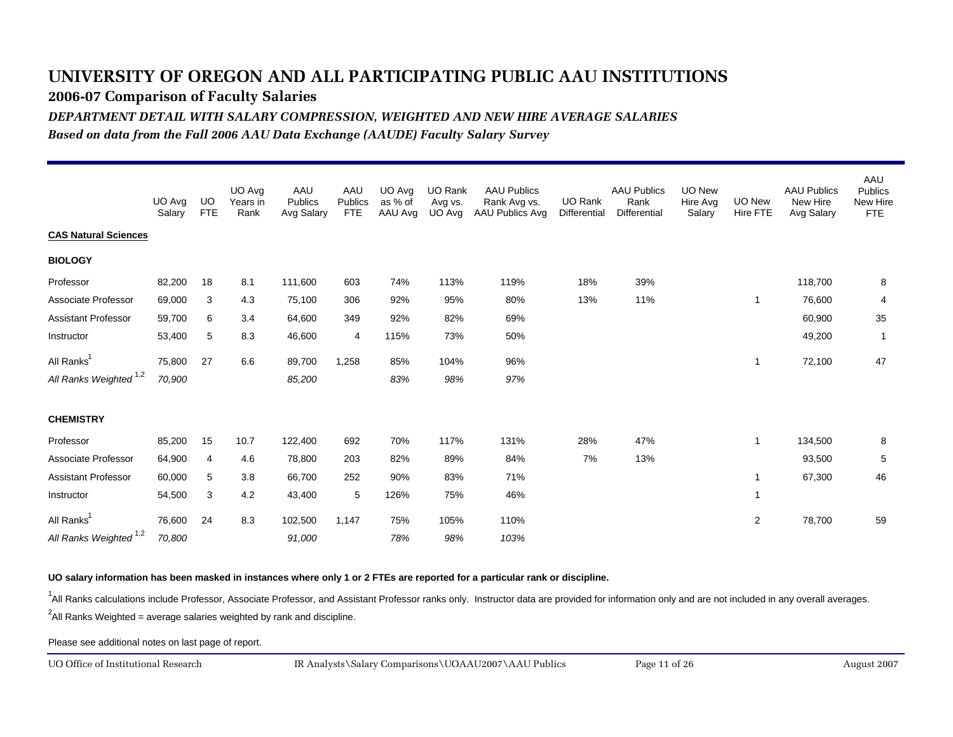**2006-07 Comparison of Faculty Salaries**

*DEPARTMENT DETAIL WITH SALARY COMPRESSION, WEIGHTED AND NEW HIRE AVERAGE SALARIES*

*Based on data from the Fall 2006 AAU Data Exchange (AAUDE) Faculty Salary Survey*

|                                                             | UO Avg<br>Salary | UO.<br><b>FTE</b> | UO Avg<br>Years in<br>Rank | AAU<br>Publics<br>Avg Salary | AAU<br>Publics<br><b>FTE</b> | UO Avg<br>as % of<br>AAU Avg | UO Rank<br>Avg vs.<br>UO Avg | <b>AAU Publics</b><br>Rank Avg vs.<br>AAU Publics Avg | <b>UO Rank</b><br>Differential | <b>AAU Publics</b><br>Rank<br>Differential | UO New<br>Hire Avg<br>Salary | UO New<br>Hire FTE | <b>AAU Publics</b><br>New Hire<br>Avg Salary | AAU<br><b>Publics</b><br>New Hire<br><b>FTE</b> |
|-------------------------------------------------------------|------------------|-------------------|----------------------------|------------------------------|------------------------------|------------------------------|------------------------------|-------------------------------------------------------|--------------------------------|--------------------------------------------|------------------------------|--------------------|----------------------------------------------|-------------------------------------------------|
| <b>CAS Natural Sciences</b>                                 |                  |                   |                            |                              |                              |                              |                              |                                                       |                                |                                            |                              |                    |                                              |                                                 |
| <b>BIOLOGY</b>                                              |                  |                   |                            |                              |                              |                              |                              |                                                       |                                |                                            |                              |                    |                                              |                                                 |
| Professor                                                   | 82,200           | 18                | 8.1                        | 111,600                      | 603                          | 74%                          | 113%                         | 119%                                                  | 18%                            | 39%                                        |                              |                    | 118,700                                      | 8                                               |
| Associate Professor                                         | 69,000           | 3                 | 4.3                        | 75,100                       | 306                          | 92%                          | 95%                          | 80%                                                   | 13%                            | 11%                                        |                              | $\mathbf{1}$       | 76,600                                       | 4                                               |
| Assistant Professor                                         | 59,700           | 6                 | 3.4                        | 64,600                       | 349                          | 92%                          | 82%                          | 69%                                                   |                                |                                            |                              |                    | 60,900                                       | 35                                              |
| Instructor                                                  | 53,400           | 5                 | 8.3                        | 46,600                       | 4                            | 115%                         | 73%                          | 50%                                                   |                                |                                            |                              |                    | 49,200                                       | $\overline{1}$                                  |
| All Ranks <sup>1</sup>                                      | 75,800           | 27                | 6.6                        | 89,700                       | 1,258                        | 85%                          | 104%                         | 96%                                                   |                                |                                            |                              | 1                  | 72,100                                       | 47                                              |
| All Ranks Weighted <sup>1,2</sup>                           | 70,900           |                   |                            | 85,200                       |                              | 83%                          | 98%                          | 97%                                                   |                                |                                            |                              |                    |                                              |                                                 |
| <b>CHEMISTRY</b>                                            |                  |                   |                            |                              |                              |                              |                              |                                                       |                                |                                            |                              |                    |                                              |                                                 |
| Professor                                                   | 85,200           | 15                | 10.7                       | 122,400                      | 692                          | 70%                          | 117%                         | 131%                                                  | 28%                            | 47%                                        |                              | $\mathbf{1}$       | 134,500                                      | 8                                               |
| Associate Professor                                         | 64,900           | 4                 | 4.6                        | 78,800                       | 203                          | 82%                          | 89%                          | 84%                                                   | 7%                             | 13%                                        |                              |                    | 93,500                                       | 5                                               |
| <b>Assistant Professor</b>                                  | 60,000           | 5                 | 3.8                        | 66,700                       | 252                          | 90%                          | 83%                          | 71%                                                   |                                |                                            |                              | -1                 | 67,300                                       | 46                                              |
| Instructor                                                  | 54,500           | 3                 | 4.2                        | 43,400                       | 5                            | 126%                         | 75%                          | 46%                                                   |                                |                                            |                              | $\mathbf{1}$       |                                              |                                                 |
| All Ranks <sup>1</sup><br>All Ranks Weighted <sup>1,2</sup> | 76,600<br>70,800 | 24                | 8.3                        | 102,500<br>91,000            | 1,147                        | 75%<br>78%                   | 105%<br>98%                  | 110%<br>103%                                          |                                |                                            |                              | 2                  | 78,700                                       | 59                                              |

**UO salary information has been masked in instances where only 1 or 2 FTEs are reported for a particular rank or discipline.**

<sup>1</sup>All Ranks calculations include Professor, Associate Professor, and Assistant Professor ranks only. Instructor data are provided for information only and are not included in any overall averages.

 $^2$ All Ranks Weighted = average salaries weighted by rank and discipline.

Please see additional notes on last page of report.

UO Office of Institutional Research

August 2007 IR Analysts\Salary Comparisons\UOAAU2007\AAU Publics Page 11 of 26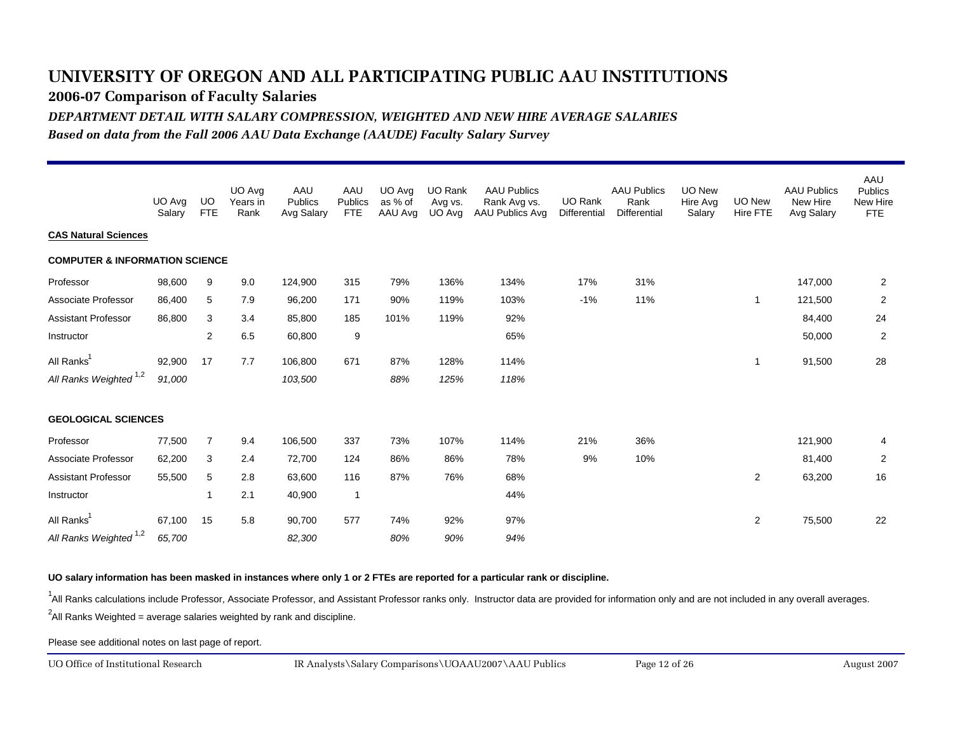**2006-07 Comparison of Faculty Salaries**

*DEPARTMENT DETAIL WITH SALARY COMPRESSION, WEIGHTED AND NEW HIRE AVERAGE SALARIES*

*Based on data from the Fall 2006 AAU Data Exchange (AAUDE) Faculty Salary Survey*

|                                           | UO Avg<br>Salary | UO.<br><b>FTE</b>       | UO Avg<br>Years in<br>Rank | AAU<br>Publics<br>Avg Salary | AAU<br>Publics<br><b>FTE</b> | UO Avg<br>as % of<br>AAU Avg | UO Rank<br>Avg vs.<br>UO Avg | <b>AAU Publics</b><br>Rank Avg vs.<br>AAU Publics Avg | <b>UO Rank</b><br>Differential | <b>AAU Publics</b><br>Rank<br>Differential | UO New<br>Hire Avg<br>Salary | <b>UO New</b><br>Hire FTE | <b>AAU Publics</b><br>New Hire<br>Avg Salary | AAU<br><b>Publics</b><br>New Hire<br>FTE |
|-------------------------------------------|------------------|-------------------------|----------------------------|------------------------------|------------------------------|------------------------------|------------------------------|-------------------------------------------------------|--------------------------------|--------------------------------------------|------------------------------|---------------------------|----------------------------------------------|------------------------------------------|
| <b>CAS Natural Sciences</b>               |                  |                         |                            |                              |                              |                              |                              |                                                       |                                |                                            |                              |                           |                                              |                                          |
| <b>COMPUTER &amp; INFORMATION SCIENCE</b> |                  |                         |                            |                              |                              |                              |                              |                                                       |                                |                                            |                              |                           |                                              |                                          |
| Professor                                 | 98,600           | 9                       | 9.0                        | 124,900                      | 315                          | 79%                          | 136%                         | 134%                                                  | 17%                            | 31%                                        |                              |                           | 147,000                                      | $\overline{2}$                           |
| Associate Professor                       | 86,400           | 5                       | 7.9                        | 96,200                       | 171                          | 90%                          | 119%                         | 103%                                                  | $-1%$                          | 11%                                        |                              | 1                         | 121,500                                      | $\overline{2}$                           |
| <b>Assistant Professor</b>                | 86,800           | 3                       | 3.4                        | 85,800                       | 185                          | 101%                         | 119%                         | 92%                                                   |                                |                                            |                              |                           | 84,400                                       | 24                                       |
| Instructor                                |                  | $\overline{\mathbf{c}}$ | 6.5                        | 60,800                       | 9                            |                              |                              | 65%                                                   |                                |                                            |                              |                           | 50,000                                       | $\overline{2}$                           |
| All Ranks <sup>1</sup>                    | 92,900           | 17                      | 7.7                        | 106,800                      | 671                          | 87%                          | 128%                         | 114%                                                  |                                |                                            |                              | 1                         | 91,500                                       | 28                                       |
| All Ranks Weighted <sup>1,2</sup>         | 91,000           |                         |                            | 103,500                      |                              | 88%                          | 125%                         | 118%                                                  |                                |                                            |                              |                           |                                              |                                          |
| <b>GEOLOGICAL SCIENCES</b>                |                  |                         |                            |                              |                              |                              |                              |                                                       |                                |                                            |                              |                           |                                              |                                          |
| Professor                                 | 77,500           | $\overline{7}$          | 9.4                        | 106,500                      | 337                          | 73%                          | 107%                         | 114%                                                  | 21%                            | 36%                                        |                              |                           | 121,900                                      | 4                                        |
| Associate Professor                       | 62,200           | 3                       | 2.4                        | 72,700                       | 124                          | 86%                          | 86%                          | 78%                                                   | 9%                             | 10%                                        |                              |                           | 81,400                                       | 2                                        |
| <b>Assistant Professor</b>                | 55,500           | 5                       | 2.8                        | 63,600                       | 116                          | 87%                          | 76%                          | 68%                                                   |                                |                                            |                              | 2                         | 63,200                                       | 16                                       |
| Instructor                                |                  | 1                       | 2.1                        | 40,900                       | $\overline{1}$               |                              |                              | 44%                                                   |                                |                                            |                              |                           |                                              |                                          |
| All Ranks <sup>1</sup>                    | 67,100           | 15                      | 5.8                        | 90,700                       | 577                          | 74%                          | 92%                          | 97%                                                   |                                |                                            |                              | $\overline{c}$            | 75,500                                       | 22                                       |
| All Ranks Weighted <sup>1,2</sup>         | 65,700           |                         |                            | 82,300                       |                              | 80%                          | 90%                          | 94%                                                   |                                |                                            |                              |                           |                                              |                                          |

**UO salary information has been masked in instances where only 1 or 2 FTEs are reported for a particular rank or discipline.**

<sup>1</sup>All Ranks calculations include Professor, Associate Professor, and Assistant Professor ranks only. Instructor data are provided for information only and are not included in any overall averages.

 $^2$ All Ranks Weighted = average salaries weighted by rank and discipline.

Please see additional notes on last page of report.

UO Office of Institutional Research

August 2007 IR Analysts\Salary Comparisons\UOAAU2007\AAU Publics Page 12 of 26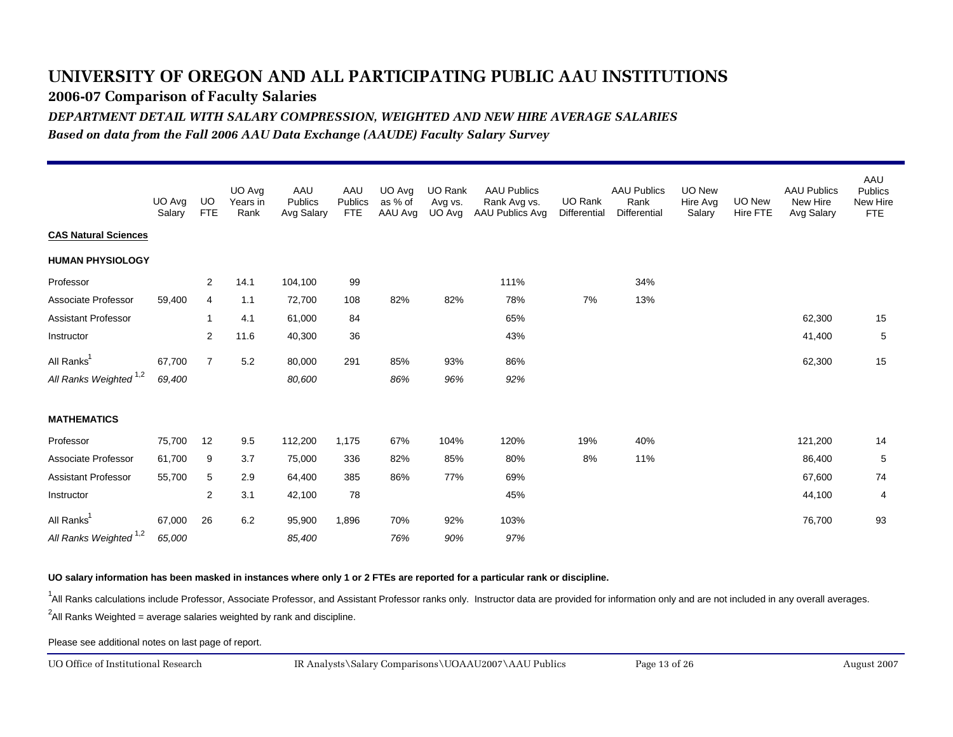**2006-07 Comparison of Faculty Salaries**

*DEPARTMENT DETAIL WITH SALARY COMPRESSION, WEIGHTED AND NEW HIRE AVERAGE SALARIES*

*Based on data from the Fall 2006 AAU Data Exchange (AAUDE) Faculty Salary Survey*

|                                   | UO Avg<br>Salary | UO.<br><b>FTE</b> | UO Avg<br>Years in<br>Rank | AAU<br>Publics<br>Avg Salary | AAU<br>Publics<br><b>FTE</b> | UO Avg<br>as % of<br>AAU Avg | UO Rank<br>Avg vs.<br>UO Avg | <b>AAU Publics</b><br>Rank Avg vs.<br>AAU Publics Avg | UO Rank<br>Differential | <b>AAU Publics</b><br>Rank<br><b>Differential</b> | UO New<br>Hire Avg<br>Salary | UO New<br>Hire FTE | <b>AAU Publics</b><br>New Hire<br>Avg Salary | AAU<br><b>Publics</b><br>New Hire<br><b>FTE</b> |
|-----------------------------------|------------------|-------------------|----------------------------|------------------------------|------------------------------|------------------------------|------------------------------|-------------------------------------------------------|-------------------------|---------------------------------------------------|------------------------------|--------------------|----------------------------------------------|-------------------------------------------------|
| <b>CAS Natural Sciences</b>       |                  |                   |                            |                              |                              |                              |                              |                                                       |                         |                                                   |                              |                    |                                              |                                                 |
| <b>HUMAN PHYSIOLOGY</b>           |                  |                   |                            |                              |                              |                              |                              |                                                       |                         |                                                   |                              |                    |                                              |                                                 |
| Professor                         |                  | 2                 | 14.1                       | 104,100                      | 99                           |                              |                              | 111%                                                  |                         | 34%                                               |                              |                    |                                              |                                                 |
| Associate Professor               | 59,400           | 4                 | 1.1                        | 72,700                       | 108                          | 82%                          | 82%                          | 78%                                                   | 7%                      | 13%                                               |                              |                    |                                              |                                                 |
| Assistant Professor               |                  | $\overline{1}$    | 4.1                        | 61,000                       | 84                           |                              |                              | 65%                                                   |                         |                                                   |                              |                    | 62,300                                       | 15                                              |
| Instructor                        |                  | $\overline{2}$    | 11.6                       | 40,300                       | 36                           |                              |                              | 43%                                                   |                         |                                                   |                              |                    | 41,400                                       | 5                                               |
| All Ranks <sup>1</sup>            | 67,700           | $\overline{7}$    | 5.2                        | 80,000                       | 291                          | 85%                          | 93%                          | 86%                                                   |                         |                                                   |                              |                    | 62,300                                       | 15                                              |
| All Ranks Weighted <sup>1,2</sup> | 69,400           |                   |                            | 80,600                       |                              | 86%                          | 96%                          | 92%                                                   |                         |                                                   |                              |                    |                                              |                                                 |
| <b>MATHEMATICS</b>                |                  |                   |                            |                              |                              |                              |                              |                                                       |                         |                                                   |                              |                    |                                              |                                                 |
| Professor                         | 75,700           | 12                | 9.5                        | 112,200                      | 1,175                        | 67%                          | 104%                         | 120%                                                  | 19%                     | 40%                                               |                              |                    | 121,200                                      | 14                                              |
| Associate Professor               | 61,700           | 9                 | 3.7                        | 75,000                       | 336                          | 82%                          | 85%                          | 80%                                                   | 8%                      | 11%                                               |                              |                    | 86,400                                       | 5                                               |
| <b>Assistant Professor</b>        | 55,700           | 5                 | 2.9                        | 64,400                       | 385                          | 86%                          | 77%                          | 69%                                                   |                         |                                                   |                              |                    | 67,600                                       | 74                                              |
| Instructor                        |                  | 2                 | 3.1                        | 42,100                       | 78                           |                              |                              | 45%                                                   |                         |                                                   |                              |                    | 44,100                                       | 4                                               |
| All Ranks <sup>1</sup>            | 67,000           | 26                | 6.2                        | 95,900                       | 1,896                        | 70%                          | 92%                          | 103%                                                  |                         |                                                   |                              |                    | 76,700                                       | 93                                              |
| All Ranks Weighted <sup>1,2</sup> | 65,000           |                   |                            | 85,400                       |                              | 76%                          | 90%                          | 97%                                                   |                         |                                                   |                              |                    |                                              |                                                 |

**UO salary information has been masked in instances where only 1 or 2 FTEs are reported for a particular rank or discipline.**

<sup>1</sup>All Ranks calculations include Professor, Associate Professor, and Assistant Professor ranks only. Instructor data are provided for information only and are not included in any overall averages.

 $^2$ All Ranks Weighted = average salaries weighted by rank and discipline.

Please see additional notes on last page of report.

UO Office of Institutional Research

August 2007 IR Analysts\Salary Comparisons\UOAAU2007\AAU Publics Page 13 of 26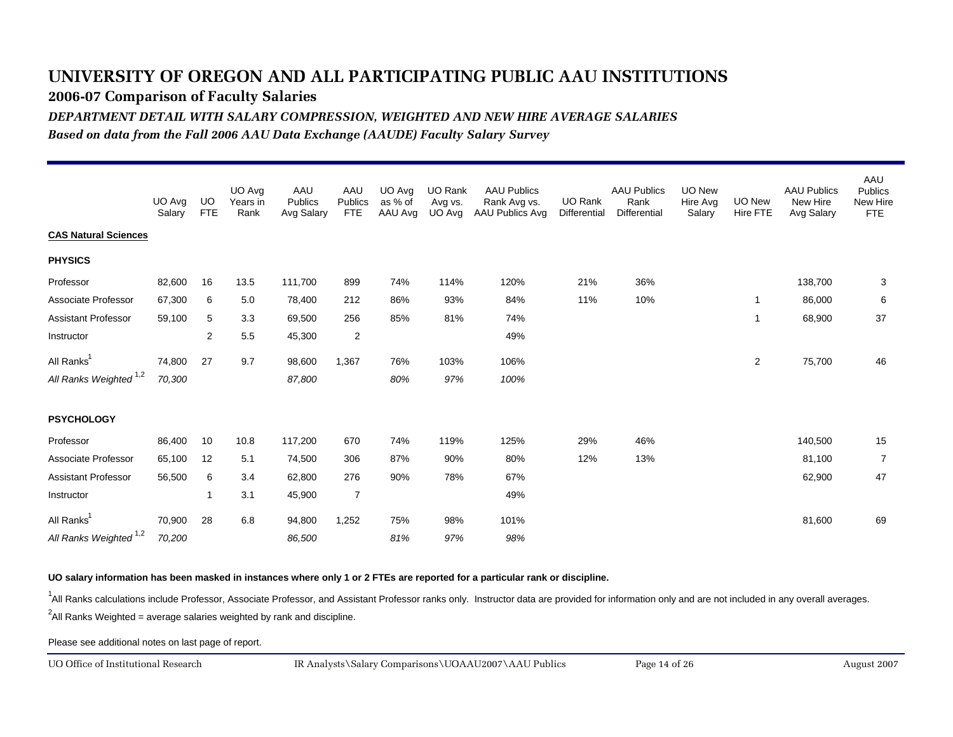**2006-07 Comparison of Faculty Salaries**

*DEPARTMENT DETAIL WITH SALARY COMPRESSION, WEIGHTED AND NEW HIRE AVERAGE SALARIES*

*Based on data from the Fall 2006 AAU Data Exchange (AAUDE) Faculty Salary Survey*

|                                   | UO Avg<br>Salary | UO.<br><b>FTE</b> | UO Avg<br>Years in<br>Rank | AAU<br>Publics<br>Avg Salary | AAU<br>Publics<br><b>FTE</b> | UO Avg<br>as % of<br>AAU Avg | UO Rank<br>Avg vs.<br>UO Avg | <b>AAU Publics</b><br>Rank Avg vs.<br>AAU Publics Avg | <b>UO Rank</b><br>Differential | <b>AAU Publics</b><br>Rank<br><b>Differential</b> | UO New<br>Hire Avg<br>Salary | UO New<br>Hire FTE | <b>AAU Publics</b><br>New Hire<br>Avg Salary | AAU<br><b>Publics</b><br>New Hire<br><b>FTE</b> |
|-----------------------------------|------------------|-------------------|----------------------------|------------------------------|------------------------------|------------------------------|------------------------------|-------------------------------------------------------|--------------------------------|---------------------------------------------------|------------------------------|--------------------|----------------------------------------------|-------------------------------------------------|
| <b>CAS Natural Sciences</b>       |                  |                   |                            |                              |                              |                              |                              |                                                       |                                |                                                   |                              |                    |                                              |                                                 |
| <b>PHYSICS</b>                    |                  |                   |                            |                              |                              |                              |                              |                                                       |                                |                                                   |                              |                    |                                              |                                                 |
| Professor                         | 82,600           | 16                | 13.5                       | 111,700                      | 899                          | 74%                          | 114%                         | 120%                                                  | 21%                            | 36%                                               |                              |                    | 138,700                                      | 3                                               |
| Associate Professor               | 67,300           | 6                 | 5.0                        | 78,400                       | 212                          | 86%                          | 93%                          | 84%                                                   | 11%                            | 10%                                               |                              | $\mathbf{1}$       | 86,000                                       | 6                                               |
| Assistant Professor               | 59,100           | 5                 | 3.3                        | 69,500                       | 256                          | 85%                          | 81%                          | 74%                                                   |                                |                                                   |                              | -1                 | 68,900                                       | 37                                              |
| Instructor                        |                  | $\mathbf{2}$      | 5.5                        | 45,300                       | $\overline{2}$               |                              |                              | 49%                                                   |                                |                                                   |                              |                    |                                              |                                                 |
| All Ranks <sup>1</sup>            | 74,800           | 27                | 9.7                        | 98,600                       | 1,367                        | 76%                          | 103%                         | 106%                                                  |                                |                                                   |                              | $\overline{2}$     | 75,700                                       | 46                                              |
| All Ranks Weighted <sup>1,2</sup> | 70,300           |                   |                            | 87,800                       |                              | 80%                          | 97%                          | 100%                                                  |                                |                                                   |                              |                    |                                              |                                                 |
| <b>PSYCHOLOGY</b>                 |                  |                   |                            |                              |                              |                              |                              |                                                       |                                |                                                   |                              |                    |                                              |                                                 |
| Professor                         | 86,400           | 10                | 10.8                       | 117,200                      | 670                          | 74%                          | 119%                         | 125%                                                  | 29%                            | 46%                                               |                              |                    | 140,500                                      | 15                                              |
| Associate Professor               | 65,100           | 12                | 5.1                        | 74,500                       | 306                          | 87%                          | 90%                          | 80%                                                   | 12%                            | 13%                                               |                              |                    | 81,100                                       | $\overline{7}$                                  |
| <b>Assistant Professor</b>        | 56,500           | 6                 | 3.4                        | 62,800                       | 276                          | 90%                          | 78%                          | 67%                                                   |                                |                                                   |                              |                    | 62,900                                       | 47                                              |
| Instructor                        |                  | 1                 | 3.1                        | 45,900                       | $\overline{7}$               |                              |                              | 49%                                                   |                                |                                                   |                              |                    |                                              |                                                 |
| All Ranks <sup>1</sup>            | 70,900           | 28                | 6.8                        | 94,800                       | 1,252                        | 75%                          | 98%                          | 101%                                                  |                                |                                                   |                              |                    | 81,600                                       | 69                                              |
| All Ranks Weighted <sup>1,2</sup> | 70,200           |                   |                            | 86,500                       |                              | 81%                          | 97%                          | 98%                                                   |                                |                                                   |                              |                    |                                              |                                                 |

#### **UO salary information has been masked in instances where only 1 or 2 FTEs are reported for a particular rank or discipline.**

<sup>1</sup>All Ranks calculations include Professor, Associate Professor, and Assistant Professor ranks only. Instructor data are provided for information only and are not included in any overall averages.

 $^2$ All Ranks Weighted = average salaries weighted by rank and discipline.

Please see additional notes on last page of report.

UO Office of Institutional Research

August 2007 IR Analysts\Salary Comparisons\UOAAU2007\AAU Publics Page 14 of 26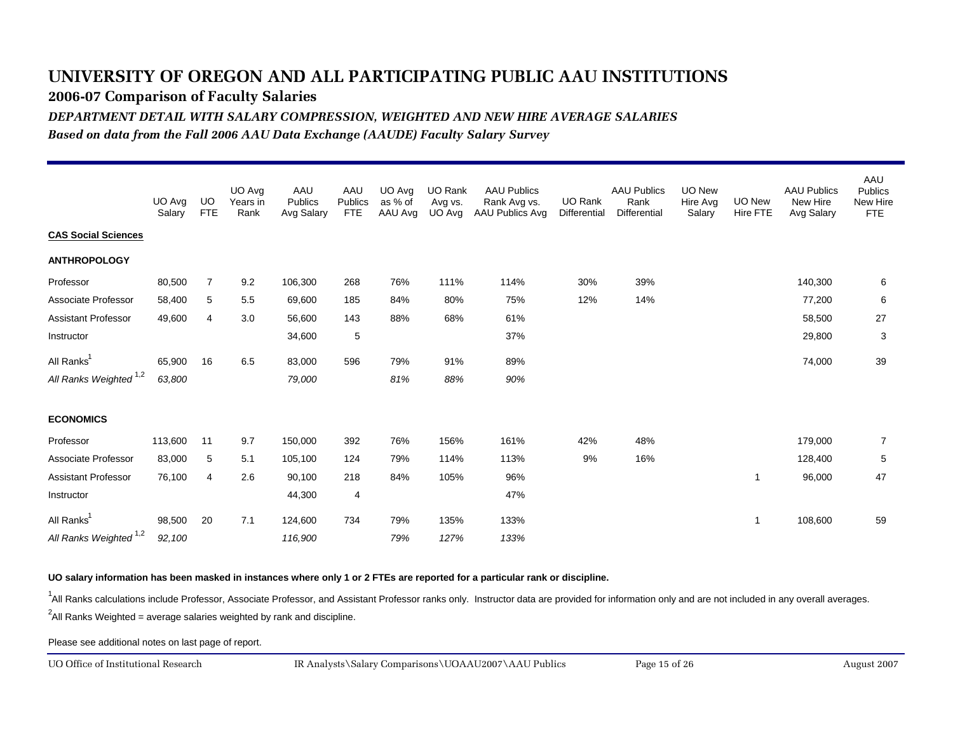**2006-07 Comparison of Faculty Salaries**

*DEPARTMENT DETAIL WITH SALARY COMPRESSION, WEIGHTED AND NEW HIRE AVERAGE SALARIES*

*Based on data from the Fall 2006 AAU Data Exchange (AAUDE) Faculty Salary Survey*

|                                   | UO Avg<br>Salary | UO.<br><b>FTE</b> | UO Avg<br>Years in<br>Rank | AAU<br>Publics<br>Avg Salary | AAU<br>Publics<br><b>FTE</b> | UO Avg<br>as % of<br>AAU Avg | UO Rank<br>Avg vs.<br>UO Avg | <b>AAU Publics</b><br>Rank Avg vs.<br>AAU Publics Avg | UO Rank<br>Differential | <b>AAU Publics</b><br>Rank<br><b>Differential</b> | UO New<br>Hire Avg<br>Salary | <b>UO New</b><br><b>Hire FTE</b> | <b>AAU Publics</b><br>New Hire<br>Avg Salary | AAU<br><b>Publics</b><br>New Hire<br><b>FTE</b> |
|-----------------------------------|------------------|-------------------|----------------------------|------------------------------|------------------------------|------------------------------|------------------------------|-------------------------------------------------------|-------------------------|---------------------------------------------------|------------------------------|----------------------------------|----------------------------------------------|-------------------------------------------------|
| <b>CAS Social Sciences</b>        |                  |                   |                            |                              |                              |                              |                              |                                                       |                         |                                                   |                              |                                  |                                              |                                                 |
| <b>ANTHROPOLOGY</b>               |                  |                   |                            |                              |                              |                              |                              |                                                       |                         |                                                   |                              |                                  |                                              |                                                 |
| Professor                         | 80,500           | $\overline{7}$    | 9.2                        | 106,300                      | 268                          | 76%                          | 111%                         | 114%                                                  | 30%                     | 39%                                               |                              |                                  | 140,300                                      | 6                                               |
| Associate Professor               | 58,400           | 5                 | 5.5                        | 69,600                       | 185                          | 84%                          | 80%                          | 75%                                                   | 12%                     | 14%                                               |                              |                                  | 77,200                                       | 6                                               |
| <b>Assistant Professor</b>        | 49,600           | 4                 | 3.0                        | 56,600                       | 143                          | 88%                          | 68%                          | 61%                                                   |                         |                                                   |                              |                                  | 58,500                                       | 27                                              |
| Instructor                        |                  |                   |                            | 34,600                       | 5                            |                              |                              | 37%                                                   |                         |                                                   |                              |                                  | 29,800                                       | $\mathbf{3}$                                    |
| All Ranks <sup>1</sup>            | 65,900           | 16                | 6.5                        | 83,000                       | 596                          | 79%                          | 91%                          | 89%                                                   |                         |                                                   |                              |                                  | 74,000                                       | 39                                              |
| All Ranks Weighted <sup>1,2</sup> | 63,800           |                   |                            | 79,000                       |                              | 81%                          | 88%                          | 90%                                                   |                         |                                                   |                              |                                  |                                              |                                                 |
| <b>ECONOMICS</b>                  |                  |                   |                            |                              |                              |                              |                              |                                                       |                         |                                                   |                              |                                  |                                              |                                                 |
| Professor                         | 113,600          | 11                | 9.7                        | 150,000                      | 392                          | 76%                          | 156%                         | 161%                                                  | 42%                     | 48%                                               |                              |                                  | 179,000                                      | 7                                               |
| Associate Professor               | 83,000           | 5                 | 5.1                        | 105,100                      | 124                          | 79%                          | 114%                         | 113%                                                  | 9%                      | 16%                                               |                              |                                  | 128,400                                      | 5                                               |
| <b>Assistant Professor</b>        | 76,100           | 4                 | 2.6                        | 90,100                       | 218                          | 84%                          | 105%                         | 96%                                                   |                         |                                                   |                              | 1                                | 96,000                                       | 47                                              |
| Instructor                        |                  |                   |                            | 44,300                       | 4                            |                              |                              | 47%                                                   |                         |                                                   |                              |                                  |                                              |                                                 |
| All Ranks <sup>1</sup>            | 98,500           | 20                | 7.1                        | 124,600                      | 734                          | 79%                          | 135%                         | 133%                                                  |                         |                                                   |                              | 1                                | 108,600                                      | 59                                              |
| All Ranks Weighted <sup>1,2</sup> | 92,100           |                   |                            | 116,900                      |                              | 79%                          | 127%                         | 133%                                                  |                         |                                                   |                              |                                  |                                              |                                                 |

**UO salary information has been masked in instances where only 1 or 2 FTEs are reported for a particular rank or discipline.**

<sup>1</sup>All Ranks calculations include Professor, Associate Professor, and Assistant Professor ranks only. Instructor data are provided for information only and are not included in any overall averages.

 $^2$ All Ranks Weighted = average salaries weighted by rank and discipline.

Please see additional notes on last page of report.

UO Office of Institutional Research

August 2007 IR Analysts\Salary Comparisons\UOAAU2007\AAU Publics Page 15 of 26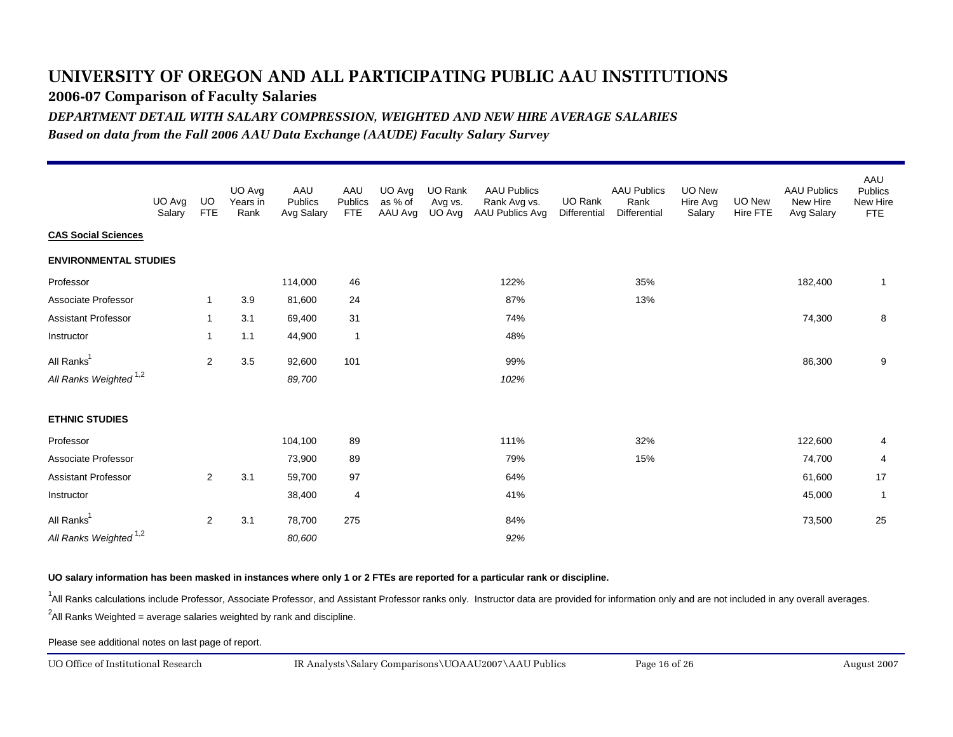**2006-07 Comparison of Faculty Salaries**

*DEPARTMENT DETAIL WITH SALARY COMPRESSION, WEIGHTED AND NEW HIRE AVERAGE SALARIES*

*Based on data from the Fall 2006 AAU Data Exchange (AAUDE) Faculty Salary Survey*

|                                   | UO Avg<br>Salary | <b>UO</b><br><b>FTE</b> | UO Avg<br>Years in<br>Rank | AAU<br>Publics<br>Avg Salary | AAU<br>Publics<br><b>FTE</b> | UO Avg<br>as % of<br>AAU Avg | UO Rank<br>Avg vs.<br>UO Avg | <b>AAU Publics</b><br>Rank Avg vs.<br>AAU Publics Avg | UO Rank<br>Differential | <b>AAU Publics</b><br>Rank<br>Differential | <b>UO New</b><br>Hire Avg<br>Salary | UO New<br>Hire FTE | <b>AAU Publics</b><br>New Hire<br>Avg Salary | AAU<br>Publics<br>New Hire<br><b>FTE</b> |
|-----------------------------------|------------------|-------------------------|----------------------------|------------------------------|------------------------------|------------------------------|------------------------------|-------------------------------------------------------|-------------------------|--------------------------------------------|-------------------------------------|--------------------|----------------------------------------------|------------------------------------------|
| <b>CAS Social Sciences</b>        |                  |                         |                            |                              |                              |                              |                              |                                                       |                         |                                            |                                     |                    |                                              |                                          |
| <b>ENVIRONMENTAL STUDIES</b>      |                  |                         |                            |                              |                              |                              |                              |                                                       |                         |                                            |                                     |                    |                                              |                                          |
| Professor                         |                  |                         |                            | 114,000                      | 46                           |                              |                              | 122%                                                  |                         | 35%                                        |                                     |                    | 182,400                                      | $\mathbf{1}$                             |
| Associate Professor               |                  | 1                       | 3.9                        | 81,600                       | 24                           |                              |                              | 87%                                                   |                         | 13%                                        |                                     |                    |                                              |                                          |
| Assistant Professor               |                  | 1                       | 3.1                        | 69,400                       | 31                           |                              |                              | 74%                                                   |                         |                                            |                                     |                    | 74,300                                       | 8                                        |
| Instructor                        |                  | 1                       | 1.1                        | 44,900                       | $\overline{1}$               |                              |                              | 48%                                                   |                         |                                            |                                     |                    |                                              |                                          |
| All Ranks <sup>1</sup>            |                  | $\overline{c}$          | 3.5                        | 92,600                       | 101                          |                              |                              | 99%                                                   |                         |                                            |                                     |                    | 86,300                                       | 9                                        |
| All Ranks Weighted <sup>1,2</sup> |                  |                         |                            | 89,700                       |                              |                              |                              | 102%                                                  |                         |                                            |                                     |                    |                                              |                                          |
| <b>ETHNIC STUDIES</b>             |                  |                         |                            |                              |                              |                              |                              |                                                       |                         |                                            |                                     |                    |                                              |                                          |
| Professor                         |                  |                         |                            | 104,100                      | 89                           |                              |                              | 111%                                                  |                         | 32%                                        |                                     |                    | 122,600                                      | 4                                        |
| Associate Professor               |                  |                         |                            | 73,900                       | 89                           |                              |                              | 79%                                                   |                         | 15%                                        |                                     |                    | 74,700                                       | 4                                        |
| <b>Assistant Professor</b>        |                  | 2                       | 3.1                        | 59,700                       | 97                           |                              |                              | 64%                                                   |                         |                                            |                                     |                    | 61,600                                       | 17                                       |
| Instructor                        |                  |                         |                            | 38,400                       | 4                            |                              |                              | 41%                                                   |                         |                                            |                                     |                    | 45,000                                       | $\overline{1}$                           |
| All Ranks <sup>1</sup>            |                  | 2                       | 3.1                        | 78,700                       | 275                          |                              |                              | 84%                                                   |                         |                                            |                                     |                    | 73,500                                       | 25                                       |
| All Ranks Weighted <sup>1,2</sup> |                  |                         |                            | 80,600                       |                              |                              |                              | 92%                                                   |                         |                                            |                                     |                    |                                              |                                          |

#### **UO salary information has been masked in instances where only 1 or 2 FTEs are reported for a particular rank or discipline.**

<sup>1</sup>All Ranks calculations include Professor, Associate Professor, and Assistant Professor ranks only. Instructor data are provided for information only and are not included in any overall averages.

 $^2$ All Ranks Weighted = average salaries weighted by rank and discipline.

Please see additional notes on last page of report.

UO Office of Institutional Research

August 2007 IR Analysts\Salary Comparisons\UOAAU2007\AAU Publics Page 16 of 26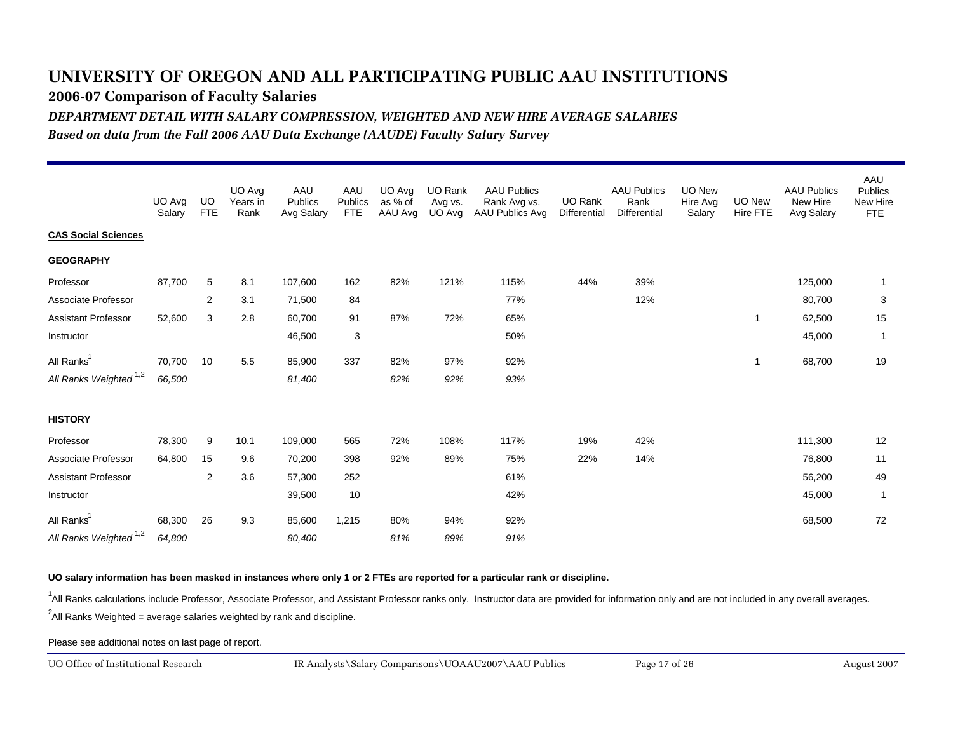**2006-07 Comparison of Faculty Salaries**

*DEPARTMENT DETAIL WITH SALARY COMPRESSION, WEIGHTED AND NEW HIRE AVERAGE SALARIES*

*Based on data from the Fall 2006 AAU Data Exchange (AAUDE) Faculty Salary Survey*

|                                   | UO Avg<br>Salary | UO<br><b>FTE</b> | UO Avg<br>Years in<br>Rank | AAU<br>Publics<br>Avg Salary | AAU<br>Publics<br><b>FTE</b> | UO Avg<br>as % of<br>AAU Avg | <b>UO Rank</b><br>Avg vs.<br>UO Avg | <b>AAU Publics</b><br>Rank Avg vs.<br>AAU Publics Avg | UO Rank<br>Differential | <b>AAU Publics</b><br>Rank<br><b>Differential</b> | <b>UO New</b><br>Hire Avg<br>Salary | UO New<br>Hire FTE | <b>AAU Publics</b><br>New Hire<br>Avg Salary | AAU<br><b>Publics</b><br>New Hire<br><b>FTE</b> |
|-----------------------------------|------------------|------------------|----------------------------|------------------------------|------------------------------|------------------------------|-------------------------------------|-------------------------------------------------------|-------------------------|---------------------------------------------------|-------------------------------------|--------------------|----------------------------------------------|-------------------------------------------------|
| <b>CAS Social Sciences</b>        |                  |                  |                            |                              |                              |                              |                                     |                                                       |                         |                                                   |                                     |                    |                                              |                                                 |
| <b>GEOGRAPHY</b>                  |                  |                  |                            |                              |                              |                              |                                     |                                                       |                         |                                                   |                                     |                    |                                              |                                                 |
| Professor                         | 87,700           | 5                | 8.1                        | 107,600                      | 162                          | 82%                          | 121%                                | 115%                                                  | 44%                     | 39%                                               |                                     |                    | 125,000                                      | -1                                              |
| Associate Professor               |                  | 2                | 3.1                        | 71,500                       | 84                           |                              |                                     | 77%                                                   |                         | 12%                                               |                                     |                    | 80,700                                       | 3                                               |
| <b>Assistant Professor</b>        | 52,600           | 3                | 2.8                        | 60,700                       | 91                           | 87%                          | 72%                                 | 65%                                                   |                         |                                                   |                                     | -1                 | 62,500                                       | 15                                              |
| Instructor                        |                  |                  |                            | 46,500                       | 3                            |                              |                                     | 50%                                                   |                         |                                                   |                                     |                    | 45,000                                       | $\overline{1}$                                  |
| All Ranks <sup>1</sup>            | 70,700           | 10               | 5.5                        | 85,900                       | 337                          | 82%                          | 97%                                 | 92%                                                   |                         |                                                   |                                     | $\overline{1}$     | 68,700                                       | 19                                              |
| All Ranks Weighted <sup>1,2</sup> | 66,500           |                  |                            | 81,400                       |                              | 82%                          | 92%                                 | 93%                                                   |                         |                                                   |                                     |                    |                                              |                                                 |
| <b>HISTORY</b>                    |                  |                  |                            |                              |                              |                              |                                     |                                                       |                         |                                                   |                                     |                    |                                              |                                                 |
| Professor                         | 78,300           | 9                | 10.1                       | 109,000                      | 565                          | 72%                          | 108%                                | 117%                                                  | 19%                     | 42%                                               |                                     |                    | 111,300                                      | 12                                              |
| Associate Professor               | 64,800           | 15               | 9.6                        | 70,200                       | 398                          | 92%                          | 89%                                 | 75%                                                   | 22%                     | 14%                                               |                                     |                    | 76,800                                       | 11                                              |
| <b>Assistant Professor</b>        |                  | $\overline{2}$   | 3.6                        | 57,300                       | 252                          |                              |                                     | 61%                                                   |                         |                                                   |                                     |                    | 56,200                                       | 49                                              |
| Instructor                        |                  |                  |                            | 39,500                       | 10                           |                              |                                     | 42%                                                   |                         |                                                   |                                     |                    | 45,000                                       | $\overline{1}$                                  |
| All Ranks <sup>1</sup>            | 68,300           | 26               | 9.3                        | 85,600                       | 1,215                        | 80%                          | 94%                                 | 92%                                                   |                         |                                                   |                                     |                    | 68,500                                       | 72                                              |
| All Ranks Weighted <sup>1,2</sup> | 64,800           |                  |                            | 80,400                       |                              | 81%                          | 89%                                 | 91%                                                   |                         |                                                   |                                     |                    |                                              |                                                 |

#### **UO salary information has been masked in instances where only 1 or 2 FTEs are reported for a particular rank or discipline.**

<sup>1</sup>All Ranks calculations include Professor, Associate Professor, and Assistant Professor ranks only. Instructor data are provided for information only and are not included in any overall averages.

 $^2$ All Ranks Weighted = average salaries weighted by rank and discipline.

Please see additional notes on last page of report.

UO Office of Institutional Research

August 2007 IR Analysts\Salary Comparisons\UOAAU2007\AAU Publics Page 17 of 26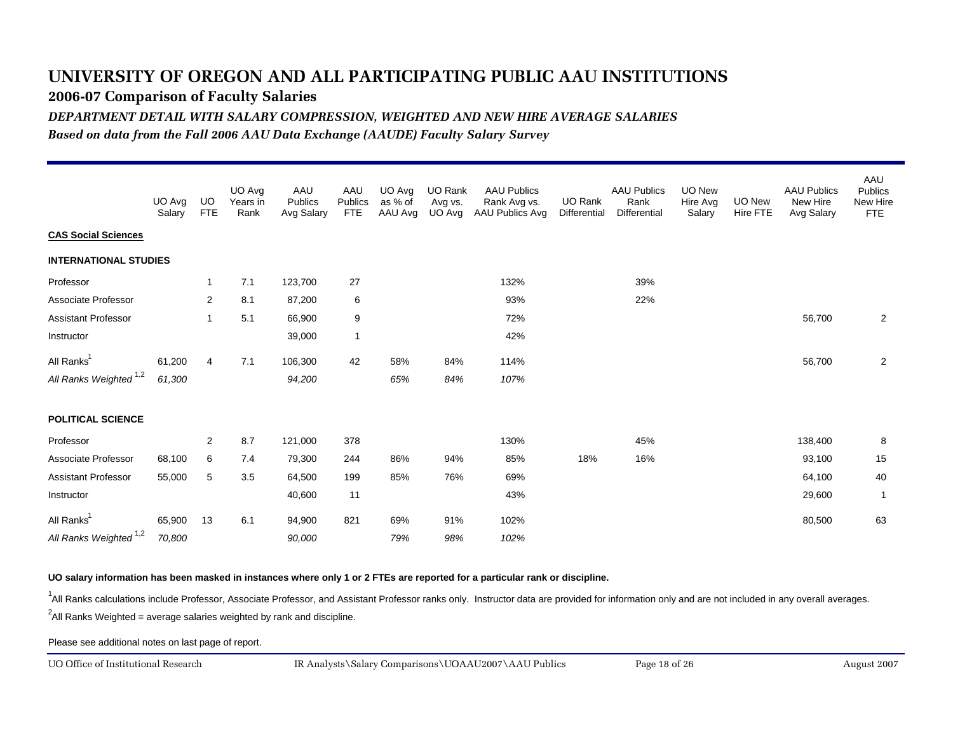**2006-07 Comparison of Faculty Salaries**

*DEPARTMENT DETAIL WITH SALARY COMPRESSION, WEIGHTED AND NEW HIRE AVERAGE SALARIES*

*Based on data from the Fall 2006 AAU Data Exchange (AAUDE) Faculty Salary Survey*

|                                   | UO Avg<br>Salary | UO.<br><b>FTE</b> | UO Avg<br>Years in<br>Rank | AAU<br>Publics<br>Avg Salary | AAU<br>Publics<br><b>FTE</b> | UO Avg<br>as % of<br>AAU Avg | UO Rank<br>Avg vs.<br>UO Avg | <b>AAU Publics</b><br>Rank Avg vs.<br>AAU Publics Avg | <b>UO Rank</b><br>Differential | <b>AAU Publics</b><br>Rank<br><b>Differential</b> | UO New<br>Hire Avg<br>Salary | <b>UO New</b><br>Hire FTE | <b>AAU Publics</b><br>New Hire<br>Avg Salary | AAU<br><b>Publics</b><br>New Hire<br>FTE |
|-----------------------------------|------------------|-------------------|----------------------------|------------------------------|------------------------------|------------------------------|------------------------------|-------------------------------------------------------|--------------------------------|---------------------------------------------------|------------------------------|---------------------------|----------------------------------------------|------------------------------------------|
| <b>CAS Social Sciences</b>        |                  |                   |                            |                              |                              |                              |                              |                                                       |                                |                                                   |                              |                           |                                              |                                          |
| <b>INTERNATIONAL STUDIES</b>      |                  |                   |                            |                              |                              |                              |                              |                                                       |                                |                                                   |                              |                           |                                              |                                          |
| Professor                         |                  | $\overline{1}$    | 7.1                        | 123,700                      | 27                           |                              |                              | 132%                                                  |                                | 39%                                               |                              |                           |                                              |                                          |
| Associate Professor               |                  | 2                 | 8.1                        | 87,200                       | 6                            |                              |                              | 93%                                                   |                                | 22%                                               |                              |                           |                                              |                                          |
| <b>Assistant Professor</b>        |                  | 1                 | 5.1                        | 66,900                       | 9                            |                              |                              | 72%                                                   |                                |                                                   |                              |                           | 56,700                                       | $\overline{2}$                           |
| Instructor                        |                  |                   |                            | 39,000                       | $\overline{1}$               |                              |                              | 42%                                                   |                                |                                                   |                              |                           |                                              |                                          |
| All Ranks <sup>1</sup>            | 61,200           | $\overline{4}$    | 7.1                        | 106,300                      | 42                           | 58%                          | 84%                          | 114%                                                  |                                |                                                   |                              |                           | 56,700                                       | 2                                        |
| All Ranks Weighted <sup>1,2</sup> | 61,300           |                   |                            | 94,200                       |                              | 65%                          | 84%                          | 107%                                                  |                                |                                                   |                              |                           |                                              |                                          |
| <b>POLITICAL SCIENCE</b>          |                  |                   |                            |                              |                              |                              |                              |                                                       |                                |                                                   |                              |                           |                                              |                                          |
| Professor                         |                  | 2                 | 8.7                        | 121,000                      | 378                          |                              |                              | 130%                                                  |                                | 45%                                               |                              |                           | 138,400                                      | 8                                        |
| Associate Professor               | 68,100           | 6                 | 7.4                        | 79,300                       | 244                          | 86%                          | 94%                          | 85%                                                   | 18%                            | 16%                                               |                              |                           | 93,100                                       | 15                                       |
| <b>Assistant Professor</b>        | 55,000           | 5                 | 3.5                        | 64,500                       | 199                          | 85%                          | 76%                          | 69%                                                   |                                |                                                   |                              |                           | 64,100                                       | 40                                       |
| Instructor                        |                  |                   |                            | 40,600                       | 11                           |                              |                              | 43%                                                   |                                |                                                   |                              |                           | 29,600                                       | $\overline{1}$                           |
| All Ranks <sup>1</sup>            | 65,900           | 13                | 6.1                        | 94,900                       | 821                          | 69%                          | 91%                          | 102%                                                  |                                |                                                   |                              |                           | 80,500                                       | 63                                       |
| All Ranks Weighted <sup>1,2</sup> | 70,800           |                   |                            | 90,000                       |                              | 79%                          | 98%                          | 102%                                                  |                                |                                                   |                              |                           |                                              |                                          |

**UO salary information has been masked in instances where only 1 or 2 FTEs are reported for a particular rank or discipline.**

<sup>1</sup>All Ranks calculations include Professor, Associate Professor, and Assistant Professor ranks only. Instructor data are provided for information only and are not included in any overall averages.

 $^2$ All Ranks Weighted = average salaries weighted by rank and discipline.

Please see additional notes on last page of report.

UO Office of Institutional Research

August 2007 IR Analysts\Salary Comparisons\UOAAU2007\AAU Publics Page 18 of 26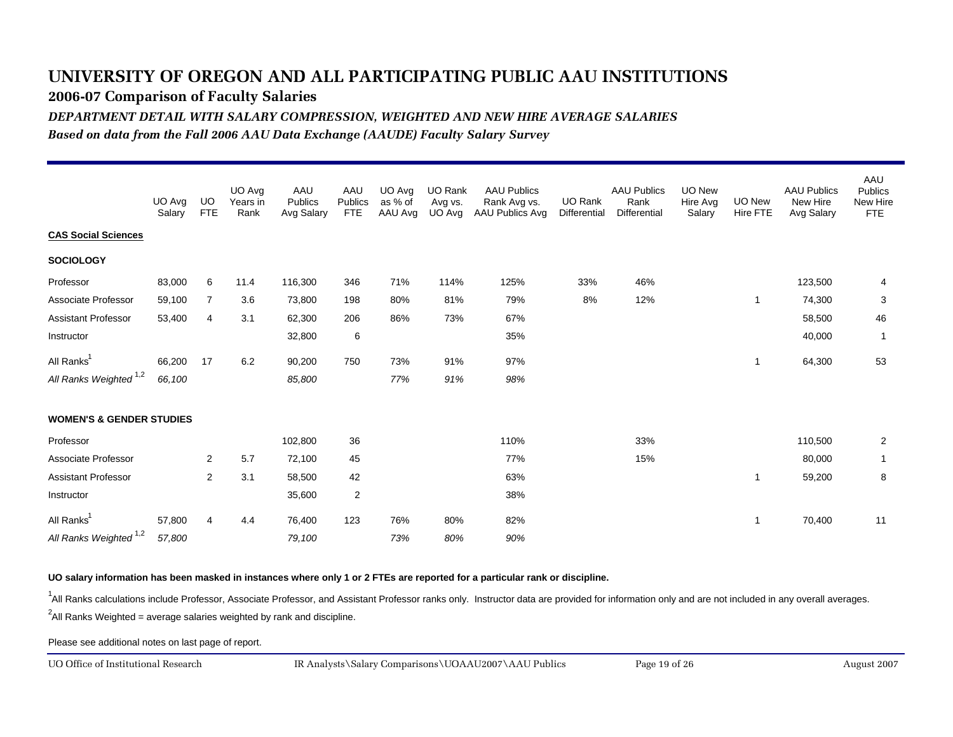**2006-07 Comparison of Faculty Salaries**

*DEPARTMENT DETAIL WITH SALARY COMPRESSION, WEIGHTED AND NEW HIRE AVERAGE SALARIES*

*Based on data from the Fall 2006 AAU Data Exchange (AAUDE) Faculty Salary Survey*

|                                     | UO Avg<br>Salary | UO.<br><b>FTE</b> | UO Avg<br>Years in<br>Rank | AAU<br>Publics<br>Avg Salary | AAU<br>Publics<br><b>FTE</b> | UO Avg<br>as % of<br>AAU Avg | UO Rank<br>Avg vs.<br>UO Avg | <b>AAU Publics</b><br>Rank Avg vs.<br>AAU Publics Avg | <b>UO Rank</b><br>Differential | <b>AAU Publics</b><br>Rank<br><b>Differential</b> | UO New<br>Hire Avg<br>Salary | <b>UO New</b><br>Hire FTE | <b>AAU Publics</b><br>New Hire<br>Avg Salary | AAU<br><b>Publics</b><br>New Hire<br><b>FTE</b> |
|-------------------------------------|------------------|-------------------|----------------------------|------------------------------|------------------------------|------------------------------|------------------------------|-------------------------------------------------------|--------------------------------|---------------------------------------------------|------------------------------|---------------------------|----------------------------------------------|-------------------------------------------------|
| <b>CAS Social Sciences</b>          |                  |                   |                            |                              |                              |                              |                              |                                                       |                                |                                                   |                              |                           |                                              |                                                 |
| <b>SOCIOLOGY</b>                    |                  |                   |                            |                              |                              |                              |                              |                                                       |                                |                                                   |                              |                           |                                              |                                                 |
| Professor                           | 83,000           | 6                 | 11.4                       | 116,300                      | 346                          | 71%                          | 114%                         | 125%                                                  | 33%                            | 46%                                               |                              |                           | 123,500                                      | 4                                               |
| Associate Professor                 | 59,100           | $\overline{7}$    | 3.6                        | 73,800                       | 198                          | 80%                          | 81%                          | 79%                                                   | 8%                             | 12%                                               |                              | $\mathbf{1}$              | 74,300                                       | 3                                               |
| Assistant Professor                 | 53,400           | $\overline{4}$    | 3.1                        | 62,300                       | 206                          | 86%                          | 73%                          | 67%                                                   |                                |                                                   |                              |                           | 58,500                                       | 46                                              |
| Instructor                          |                  |                   |                            | 32,800                       | 6                            |                              |                              | 35%                                                   |                                |                                                   |                              |                           | 40,000                                       | $\overline{1}$                                  |
| All Ranks <sup>1</sup>              | 66,200           | 17                | 6.2                        | 90,200                       | 750                          | 73%                          | 91%                          | 97%                                                   |                                |                                                   |                              | 1                         | 64,300                                       | 53                                              |
| All Ranks Weighted <sup>1,2</sup>   | 66,100           |                   |                            | 85,800                       |                              | 77%                          | 91%                          | 98%                                                   |                                |                                                   |                              |                           |                                              |                                                 |
| <b>WOMEN'S &amp; GENDER STUDIES</b> |                  |                   |                            |                              |                              |                              |                              |                                                       |                                |                                                   |                              |                           |                                              |                                                 |
| Professor                           |                  |                   |                            | 102,800                      | 36                           |                              |                              | 110%                                                  |                                | 33%                                               |                              |                           | 110,500                                      | $\overline{2}$                                  |
| Associate Professor                 |                  | 2                 | 5.7                        | 72,100                       | 45                           |                              |                              | 77%                                                   |                                | 15%                                               |                              |                           | 80,000                                       | -1                                              |
| <b>Assistant Professor</b>          |                  | $\mathbf{2}$      | 3.1                        | 58,500                       | 42                           |                              |                              | 63%                                                   |                                |                                                   |                              | -1                        | 59,200                                       | 8                                               |
| Instructor                          |                  |                   |                            | 35,600                       | $\overline{2}$               |                              |                              | 38%                                                   |                                |                                                   |                              |                           |                                              |                                                 |
| All Ranks <sup>1</sup>              | 57,800           | $\overline{4}$    | 4.4                        | 76,400                       | 123                          | 76%                          | 80%                          | 82%                                                   |                                |                                                   |                              | 1                         | 70,400                                       | 11                                              |
| All Ranks Weighted <sup>1,2</sup>   | 57,800           |                   |                            | 79,100                       |                              | 73%                          | 80%                          | 90%                                                   |                                |                                                   |                              |                           |                                              |                                                 |

**UO salary information has been masked in instances where only 1 or 2 FTEs are reported for a particular rank or discipline.**

<sup>1</sup>All Ranks calculations include Professor, Associate Professor, and Assistant Professor ranks only. Instructor data are provided for information only and are not included in any overall averages.

 $^2$ All Ranks Weighted = average salaries weighted by rank and discipline.

Please see additional notes on last page of report.

UO Office of Institutional Research

August 2007 IR Analysts\Salary Comparisons\UOAAU2007\AAU Publics Page 19 of 26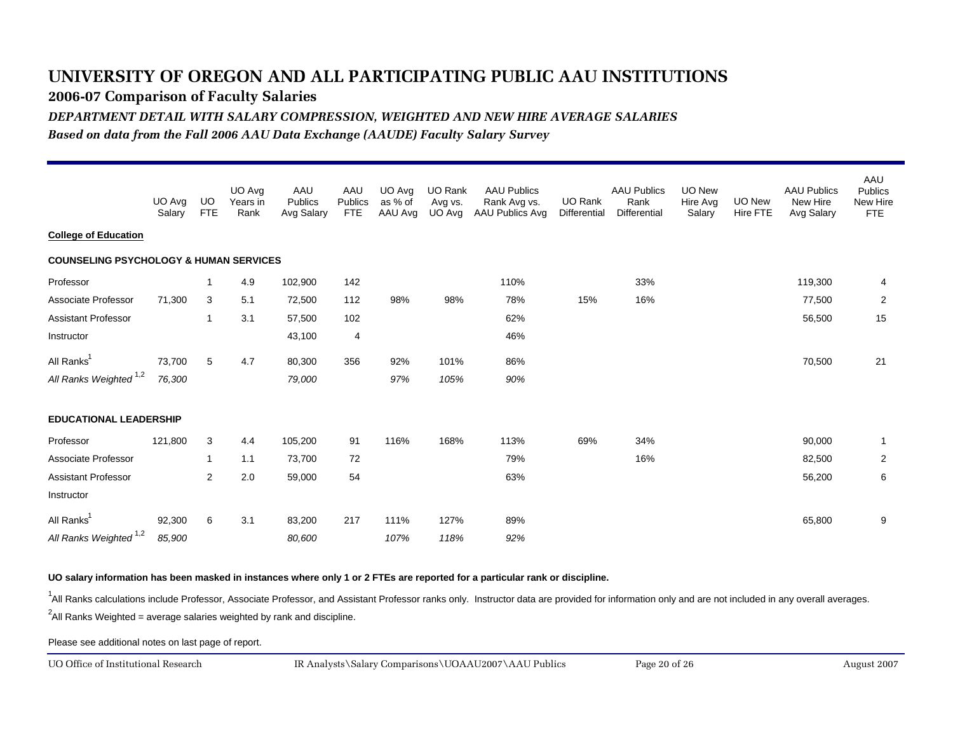**2006-07 Comparison of Faculty Salaries**

*DEPARTMENT DETAIL WITH SALARY COMPRESSION, WEIGHTED AND NEW HIRE AVERAGE SALARIES*

*Based on data from the Fall 2006 AAU Data Exchange (AAUDE) Faculty Salary Survey*

|                                                   | UO Avg<br>Salary | UO.<br><b>FTE</b>       | UO Avg<br>Years in<br>Rank | AAU<br>Publics<br>Avg Salary | AAU<br>Publics<br><b>FTE</b> | UO Avg<br>as % of<br>AAU Avg | UO Rank<br>Avg vs.<br>UO Avg | <b>AAU Publics</b><br>Rank Avg vs.<br>AAU Publics Avg | UO Rank<br>Differential | <b>AAU Publics</b><br>Rank<br><b>Differential</b> | <b>UO New</b><br>Hire Avg<br>Salary | UO New<br>Hire FTE | <b>AAU Publics</b><br>New Hire<br>Avg Salary | AAU<br><b>Publics</b><br>New Hire<br><b>FTE</b> |
|---------------------------------------------------|------------------|-------------------------|----------------------------|------------------------------|------------------------------|------------------------------|------------------------------|-------------------------------------------------------|-------------------------|---------------------------------------------------|-------------------------------------|--------------------|----------------------------------------------|-------------------------------------------------|
| <b>College of Education</b>                       |                  |                         |                            |                              |                              |                              |                              |                                                       |                         |                                                   |                                     |                    |                                              |                                                 |
| <b>COUNSELING PSYCHOLOGY &amp; HUMAN SERVICES</b> |                  |                         |                            |                              |                              |                              |                              |                                                       |                         |                                                   |                                     |                    |                                              |                                                 |
| Professor                                         |                  | $\overline{\mathbf{1}}$ | 4.9                        | 102,900                      | 142                          |                              |                              | 110%                                                  |                         | 33%                                               |                                     |                    | 119,300                                      | 4                                               |
| Associate Professor                               | 71,300           | 3                       | 5.1                        | 72,500                       | 112                          | 98%                          | 98%                          | 78%                                                   | 15%                     | 16%                                               |                                     |                    | 77,500                                       | $\overline{2}$                                  |
| <b>Assistant Professor</b>                        |                  | $\overline{1}$          | 3.1                        | 57,500                       | 102                          |                              |                              | 62%                                                   |                         |                                                   |                                     |                    | 56,500                                       | 15                                              |
| Instructor                                        |                  |                         |                            | 43,100                       | 4                            |                              |                              | 46%                                                   |                         |                                                   |                                     |                    |                                              |                                                 |
| All Ranks <sup>1</sup>                            | 73,700           | 5                       | 4.7                        | 80,300                       | 356                          | 92%                          | 101%                         | 86%                                                   |                         |                                                   |                                     |                    | 70,500                                       | 21                                              |
| All Ranks Weighted <sup>1,2</sup>                 | 76,300           |                         |                            | 79,000                       |                              | 97%                          | 105%                         | 90%                                                   |                         |                                                   |                                     |                    |                                              |                                                 |
| <b>EDUCATIONAL LEADERSHIP</b>                     |                  |                         |                            |                              |                              |                              |                              |                                                       |                         |                                                   |                                     |                    |                                              |                                                 |
| Professor                                         | 121,800          | 3                       | 4.4                        | 105,200                      | 91                           | 116%                         | 168%                         | 113%                                                  | 69%                     | 34%                                               |                                     |                    | 90,000                                       | $\overline{1}$                                  |
| Associate Professor                               |                  | $\overline{1}$          | 1.1                        | 73,700                       | 72                           |                              |                              | 79%                                                   |                         | 16%                                               |                                     |                    | 82,500                                       | $\overline{2}$                                  |
| <b>Assistant Professor</b>                        |                  | 2                       | 2.0                        | 59,000                       | 54                           |                              |                              | 63%                                                   |                         |                                                   |                                     |                    | 56,200                                       | 6                                               |
| Instructor                                        |                  |                         |                            |                              |                              |                              |                              |                                                       |                         |                                                   |                                     |                    |                                              |                                                 |
| All Ranks <sup>1</sup>                            | 92,300           | 6                       | 3.1                        | 83,200                       | 217                          | 111%                         | 127%                         | 89%                                                   |                         |                                                   |                                     |                    | 65,800                                       | 9                                               |
| All Ranks Weighted <sup>1,2</sup>                 | 85,900           |                         |                            | 80,600                       |                              | 107%                         | 118%                         | 92%                                                   |                         |                                                   |                                     |                    |                                              |                                                 |

**UO salary information has been masked in instances where only 1 or 2 FTEs are reported for a particular rank or discipline.**

<sup>1</sup>All Ranks calculations include Professor, Associate Professor, and Assistant Professor ranks only. Instructor data are provided for information only and are not included in any overall averages.

 $^2$ All Ranks Weighted = average salaries weighted by rank and discipline.

Please see additional notes on last page of report.

UO Office of Institutional Research

August 2007 IR Analysts\Salary Comparisons\UOAAU2007\AAU Publics Page 20 of 26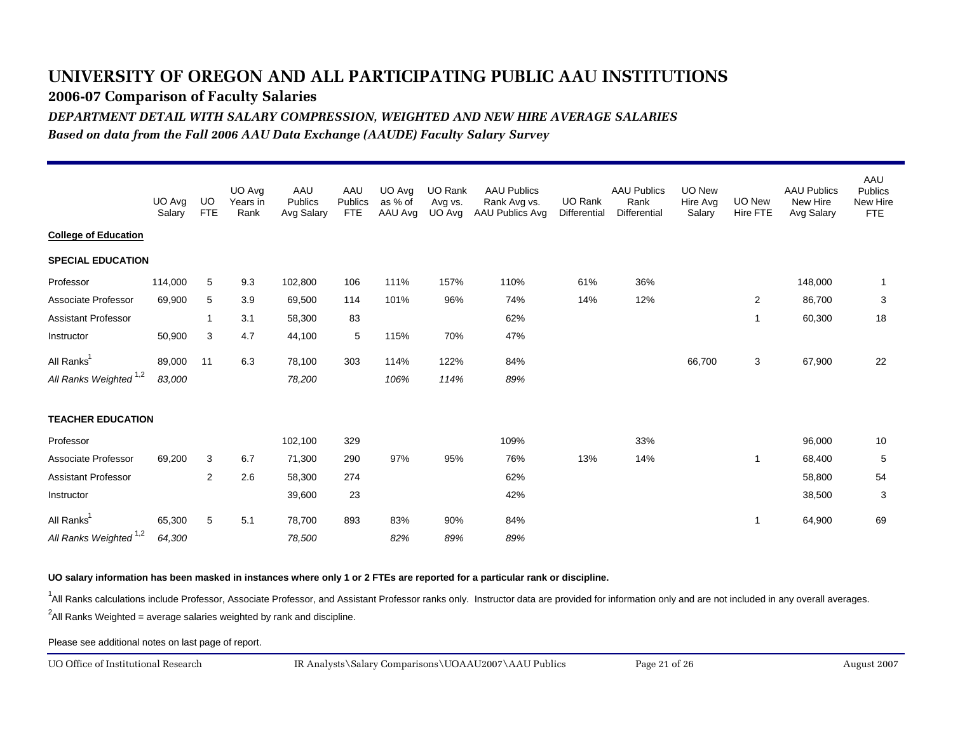**2006-07 Comparison of Faculty Salaries**

*DEPARTMENT DETAIL WITH SALARY COMPRESSION, WEIGHTED AND NEW HIRE AVERAGE SALARIES*

*Based on data from the Fall 2006 AAU Data Exchange (AAUDE) Faculty Salary Survey*

|                                   | UO Avg<br>Salary | UO.<br><b>FTE</b> | UO Avg<br>Years in<br>Rank | AAU<br>Publics<br>Avg Salary | AAU<br>Publics<br><b>FTE</b> | UO Avg<br>as % of<br>AAU Avg | UO Rank<br>Avg vs.<br>UO Avg | <b>AAU Publics</b><br>Rank Avg vs.<br>AAU Publics Avg | UO Rank<br>Differential | <b>AAU Publics</b><br>Rank<br><b>Differential</b> | UO New<br>Hire Avg<br>Salary | UO New<br>Hire FTE | <b>AAU Publics</b><br>New Hire<br>Avg Salary | AAU<br><b>Publics</b><br>New Hire<br><b>FTE</b> |
|-----------------------------------|------------------|-------------------|----------------------------|------------------------------|------------------------------|------------------------------|------------------------------|-------------------------------------------------------|-------------------------|---------------------------------------------------|------------------------------|--------------------|----------------------------------------------|-------------------------------------------------|
| <b>College of Education</b>       |                  |                   |                            |                              |                              |                              |                              |                                                       |                         |                                                   |                              |                    |                                              |                                                 |
| <b>SPECIAL EDUCATION</b>          |                  |                   |                            |                              |                              |                              |                              |                                                       |                         |                                                   |                              |                    |                                              |                                                 |
| Professor                         | 114,000          | 5                 | 9.3                        | 102,800                      | 106                          | 111%                         | 157%                         | 110%                                                  | 61%                     | 36%                                               |                              |                    | 148,000                                      | -1                                              |
| Associate Professor               | 69,900           | 5                 | 3.9                        | 69,500                       | 114                          | 101%                         | 96%                          | 74%                                                   | 14%                     | 12%                                               |                              | 2                  | 86,700                                       | 3                                               |
| <b>Assistant Professor</b>        |                  | $\overline{1}$    | 3.1                        | 58,300                       | 83                           |                              |                              | 62%                                                   |                         |                                                   |                              | $\mathbf{1}$       | 60,300                                       | 18                                              |
| Instructor                        | 50,900           | 3                 | 4.7                        | 44,100                       | 5                            | 115%                         | 70%                          | 47%                                                   |                         |                                                   |                              |                    |                                              |                                                 |
| All Ranks <sup>1</sup>            | 89,000           | 11                | 6.3                        | 78,100                       | 303                          | 114%                         | 122%                         | 84%                                                   |                         |                                                   | 66,700                       | 3                  | 67,900                                       | 22                                              |
| All Ranks Weighted <sup>1,2</sup> | 83,000           |                   |                            | 78,200                       |                              | 106%                         | 114%                         | 89%                                                   |                         |                                                   |                              |                    |                                              |                                                 |
| <b>TEACHER EDUCATION</b>          |                  |                   |                            |                              |                              |                              |                              |                                                       |                         |                                                   |                              |                    |                                              |                                                 |
| Professor                         |                  |                   |                            | 102,100                      | 329                          |                              |                              | 109%                                                  |                         | 33%                                               |                              |                    | 96,000                                       | 10                                              |
| Associate Professor               | 69,200           | 3                 | 6.7                        | 71,300                       | 290                          | 97%                          | 95%                          | 76%                                                   | 13%                     | 14%                                               |                              | -1                 | 68,400                                       | 5                                               |
| <b>Assistant Professor</b>        |                  | $\mathbf{2}$      | 2.6                        | 58,300                       | 274                          |                              |                              | 62%                                                   |                         |                                                   |                              |                    | 58,800                                       | 54                                              |
| Instructor                        |                  |                   |                            | 39,600                       | 23                           |                              |                              | 42%                                                   |                         |                                                   |                              |                    | 38,500                                       | 3                                               |
| All Ranks <sup>1</sup>            | 65,300           | 5                 | 5.1                        | 78,700                       | 893                          | 83%                          | 90%                          | 84%                                                   |                         |                                                   |                              | -1                 | 64,900                                       | 69                                              |
| All Ranks Weighted <sup>1,2</sup> | 64,300           |                   |                            | 78,500                       |                              | 82%                          | 89%                          | 89%                                                   |                         |                                                   |                              |                    |                                              |                                                 |

**UO salary information has been masked in instances where only 1 or 2 FTEs are reported for a particular rank or discipline.**

<sup>1</sup>All Ranks calculations include Professor, Associate Professor, and Assistant Professor ranks only. Instructor data are provided for information only and are not included in any overall averages.

 $^2$ All Ranks Weighted = average salaries weighted by rank and discipline.

Please see additional notes on last page of report.

UO Office of Institutional Research

August 2007 IR Analysts\Salary Comparisons\UOAAU2007\AAU Publics Page 21 of 26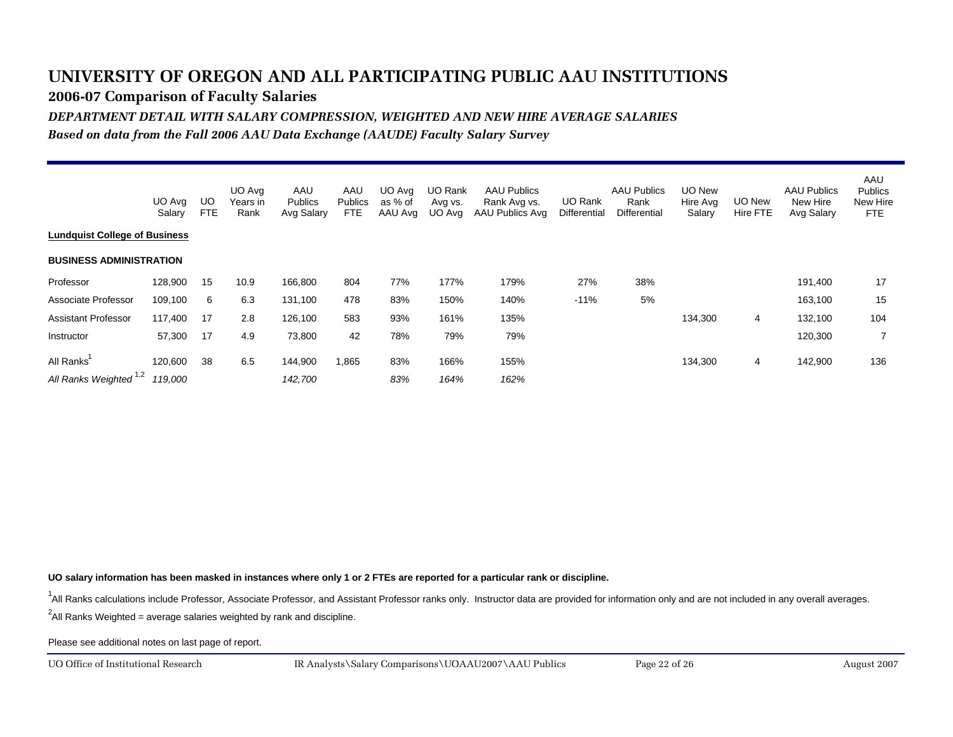**2006-07 Comparison of Faculty Salaries**

*DEPARTMENT DETAIL WITH SALARY COMPRESSION, WEIGHTED AND NEW HIRE AVERAGE SALARIES*

*Based on data from the Fall 2006 AAU Data Exchange (AAUDE) Faculty Salary Survey*

|                                      | UO Avg<br>Salary   | UO<br><b>FTE</b> | UO Avg<br>Years in<br>Rank | AAU<br><b>Publics</b><br>Avg Salary | AAU<br><b>Publics</b><br>FTE | UO Avg<br>as % of<br>AAU Avg | <b>UO Rank</b><br>Avg vs.<br>UO Ava | <b>AAU Publics</b><br>Rank Avg vs.<br>AAU Publics Avg | UO Rank<br>Differential | <b>AAU Publics</b><br>Rank<br>Differential | <b>UO New</b><br>Hire Avg<br>Salary | UO New<br><b>Hire FTE</b> | <b>AAU Publics</b><br>New Hire<br>Avg Salary | AAU<br><b>Publics</b><br>New Hire<br>FTE |
|--------------------------------------|--------------------|------------------|----------------------------|-------------------------------------|------------------------------|------------------------------|-------------------------------------|-------------------------------------------------------|-------------------------|--------------------------------------------|-------------------------------------|---------------------------|----------------------------------------------|------------------------------------------|
| <b>Lundauist College of Business</b> |                    |                  |                            |                                     |                              |                              |                                     |                                                       |                         |                                            |                                     |                           |                                              |                                          |
| <b>BUSINESS ADMINISTRATION</b>       |                    |                  |                            |                                     |                              |                              |                                     |                                                       |                         |                                            |                                     |                           |                                              |                                          |
| Professor                            | 128,900            | 15               | 10.9                       | 166,800                             | 804                          | 77%                          | 177%                                | 179%                                                  | 27%                     | 38%                                        |                                     |                           | 191,400                                      | 17                                       |
| Associate Professor                  | 109,100            | 6                | 6.3                        | 131,100                             | 478                          | 83%                          | 150%                                | 140%                                                  | $-11%$                  | 5%                                         |                                     |                           | 163,100                                      | 15                                       |
| <b>Assistant Professor</b>           | 117,400            | 17               | 2.8                        | 126,100                             | 583                          | 93%                          | 161%                                | 135%                                                  |                         |                                            | 134,300                             | 4                         | 132,100                                      | 104                                      |
| Instructor                           | 57,300             | 17               | 4.9                        | 73,800                              | 42                           | 78%                          | 79%                                 | 79%                                                   |                         |                                            |                                     |                           | 120,300                                      |                                          |
| All Ranks<br>All Ranks Weighted 1,2  | 120,600<br>119,000 | 38               | 6.5                        | 144,900<br>142,700                  | 1,865                        | 83%<br>83%                   | 166%<br>164%                        | 155%<br>162%                                          |                         |                                            | 134,300                             | 4                         | 142,900                                      | 136                                      |

**UO salary information has been masked in instances where only 1 or 2 FTEs are reported for a particular rank or discipline.**

<sup>1</sup>All Ranks calculations include Professor, Associate Professor, and Assistant Professor ranks only. Instructor data are provided for information only and are not included in any overall averages.

 $^2$ All Ranks Weighted = average salaries weighted by rank and discipline.

Please see additional notes on last page of report.

UO Office of Institutional Research

August 2007 IR Analysts\Salary Comparisons\UOAAU2007\AAU Publics Page 22 of 26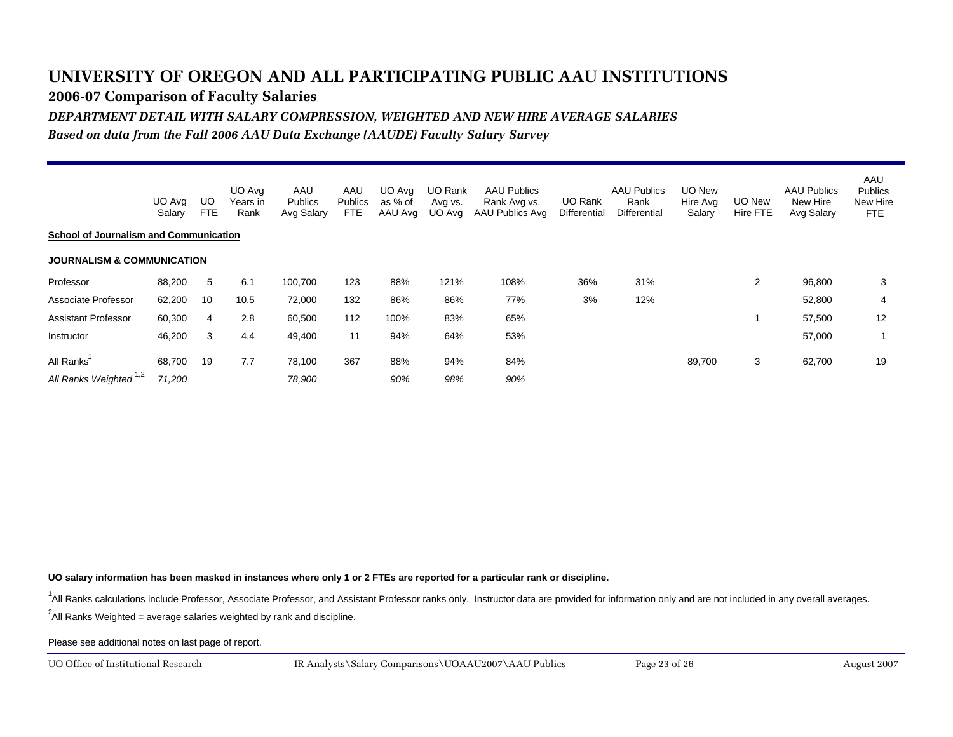**2006-07 Comparison of Faculty Salaries**

*DEPARTMENT DETAIL WITH SALARY COMPRESSION, WEIGHTED AND NEW HIRE AVERAGE SALARIES*

*Based on data from the Fall 2006 AAU Data Exchange (AAUDE) Faculty Salary Survey*

|                                               | UO Avg<br>Salary | UO<br><b>FTE</b> | UO Avg<br>Years in<br>Rank | AAU<br><b>Publics</b><br>Avg Salary | AAU<br><b>Publics</b><br>FTE | UO Avg<br>as % of<br>AAU Avg | <b>UO Rank</b><br>Avg vs.<br>UO Ava | <b>AAU Publics</b><br>Rank Avg vs.<br>AAU Publics Avg | UO Rank<br>Differential | <b>AAU Publics</b><br>Rank<br>Differential | <b>UO New</b><br>Hire Avg<br>Salary | UO New<br><b>Hire FTE</b> | <b>AAU Publics</b><br>New Hire<br>Avg Salary | AAU<br><b>Publics</b><br>New Hire<br>FTE |
|-----------------------------------------------|------------------|------------------|----------------------------|-------------------------------------|------------------------------|------------------------------|-------------------------------------|-------------------------------------------------------|-------------------------|--------------------------------------------|-------------------------------------|---------------------------|----------------------------------------------|------------------------------------------|
| <b>School of Journalism and Communication</b> |                  |                  |                            |                                     |                              |                              |                                     |                                                       |                         |                                            |                                     |                           |                                              |                                          |
| <b>JOURNALISM &amp; COMMUNICATION</b>         |                  |                  |                            |                                     |                              |                              |                                     |                                                       |                         |                                            |                                     |                           |                                              |                                          |
| Professor                                     | 88,200           | 5                | 6.1                        | 100,700                             | 123                          | 88%                          | 121%                                | 108%                                                  | 36%                     | 31%                                        |                                     | 2                         | 96,800                                       | 3                                        |
| Associate Professor                           | 62,200           | 10               | 10.5                       | 72,000                              | 132                          | 86%                          | 86%                                 | 77%                                                   | 3%                      | 12%                                        |                                     |                           | 52,800                                       | 4                                        |
| <b>Assistant Professor</b>                    | 60,300           | $\overline{4}$   | 2.8                        | 60,500                              | 112                          | 100%                         | 83%                                 | 65%                                                   |                         |                                            |                                     |                           | 57,500                                       | 12                                       |
| Instructor                                    | 46,200           | 3                | 4.4                        | 49,400                              | 11                           | 94%                          | 64%                                 | 53%                                                   |                         |                                            |                                     |                           | 57,000                                       |                                          |
| All Ranks                                     | 68,700           | 19               | 7.7                        | 78,100                              | 367                          | 88%                          | 94%                                 | 84%                                                   |                         |                                            | 89,700                              | 3                         | 62,700                                       | 19                                       |
| All Ranks Weighted 1,2                        | 71,200           |                  |                            | 78,900                              |                              | 90%                          | 98%                                 | 90%                                                   |                         |                                            |                                     |                           |                                              |                                          |

**UO salary information has been masked in instances where only 1 or 2 FTEs are reported for a particular rank or discipline.**

<sup>1</sup>All Ranks calculations include Professor, Associate Professor, and Assistant Professor ranks only. Instructor data are provided for information only and are not included in any overall averages.

 $^2$ All Ranks Weighted = average salaries weighted by rank and discipline.

Please see additional notes on last page of report.

UO Office of Institutional Research

August 2007 IR Analysts\Salary Comparisons\UOAAU2007\AAU Publics Page 23 of 26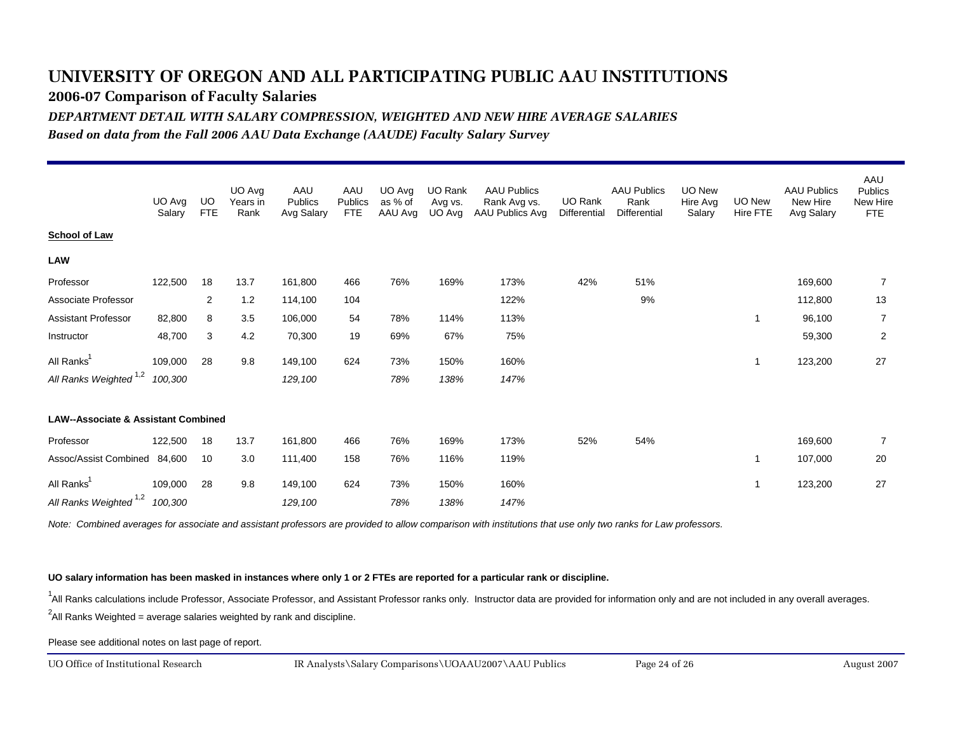**2006-07 Comparison of Faculty Salaries**

*DEPARTMENT DETAIL WITH SALARY COMPRESSION, WEIGHTED AND NEW HIRE AVERAGE SALARIES*

*Based on data from the Fall 2006 AAU Data Exchange (AAUDE) Faculty Salary Survey*

|                                                | UO Avg<br>Salary | UO<br><b>FTE</b> | UO Avg<br>Years in<br>Rank | AAU<br>Publics<br>Avg Salary | AAU<br>Publics<br><b>FTE</b> | UO Avg<br>as % of<br>AAU Avg | UO Rank<br>Avg vs.<br>UO Avg | <b>AAU Publics</b><br>Rank Avg vs.<br>AAU Publics Avg | UO Rank<br>Differential | <b>AAU Publics</b><br>Rank<br>Differential | UO New<br>Hire Avg<br>Salary | UO New<br>Hire FTE | <b>AAU Publics</b><br>New Hire<br>Avg Salary | AAU<br><b>Publics</b><br>New Hire<br>FTE |
|------------------------------------------------|------------------|------------------|----------------------------|------------------------------|------------------------------|------------------------------|------------------------------|-------------------------------------------------------|-------------------------|--------------------------------------------|------------------------------|--------------------|----------------------------------------------|------------------------------------------|
| <b>School of Law</b>                           |                  |                  |                            |                              |                              |                              |                              |                                                       |                         |                                            |                              |                    |                                              |                                          |
| <b>LAW</b>                                     |                  |                  |                            |                              |                              |                              |                              |                                                       |                         |                                            |                              |                    |                                              |                                          |
| Professor                                      | 122,500          | 18               | 13.7                       | 161,800                      | 466                          | 76%                          | 169%                         | 173%                                                  | 42%                     | 51%                                        |                              |                    | 169,600                                      | 7                                        |
| Associate Professor                            |                  | 2                | 1.2                        | 114,100                      | 104                          |                              |                              | 122%                                                  |                         | 9%                                         |                              |                    | 112,800                                      | 13                                       |
| <b>Assistant Professor</b>                     | 82,800           | 8                | 3.5                        | 106,000                      | 54                           | 78%                          | 114%                         | 113%                                                  |                         |                                            |                              | -1                 | 96,100                                       | $\overline{7}$                           |
| Instructor                                     | 48,700           | 3                | 4.2                        | 70,300                       | 19                           | 69%                          | 67%                          | 75%                                                   |                         |                                            |                              |                    | 59,300                                       | $\overline{2}$                           |
| All Ranks <sup>1</sup>                         | 109,000          | 28               | 9.8                        | 149,100                      | 624                          | 73%                          | 150%                         | 160%                                                  |                         |                                            |                              | -1                 | 123,200                                      | 27                                       |
| All Ranks Weighted 1,2                         | 100,300          |                  |                            | 129,100                      |                              | 78%                          | 138%                         | 147%                                                  |                         |                                            |                              |                    |                                              |                                          |
|                                                |                  |                  |                            |                              |                              |                              |                              |                                                       |                         |                                            |                              |                    |                                              |                                          |
| <b>LAW--Associate &amp; Assistant Combined</b> |                  |                  |                            |                              |                              |                              |                              |                                                       |                         |                                            |                              |                    |                                              |                                          |
| Professor                                      | 122,500          | 18               | 13.7                       | 161,800                      | 466                          | 76%                          | 169%                         | 173%                                                  | 52%                     | 54%                                        |                              |                    | 169,600                                      | 7                                        |
| Assoc/Assist Combined                          | 84,600           | 10               | 3.0                        | 111,400                      | 158                          | 76%                          | 116%                         | 119%                                                  |                         |                                            |                              | $\overline{1}$     | 107,000                                      | 20                                       |
| All Ranks <sup>'</sup>                         | 109,000          | 28               | 9.8                        | 149,100                      | 624                          | 73%                          | 150%                         | 160%                                                  |                         |                                            |                              |                    | 123,200                                      | 27                                       |
| All Ranks Weighted 1,2                         | 100,300          |                  |                            | 129,100                      |                              | 78%                          | 138%                         | 147%                                                  |                         |                                            |                              |                    |                                              |                                          |

*Note: Combined averages for associate and assistant professors are provided to allow comparison with institutions that use only two ranks for Law professors.*

**UO salary information has been masked in instances where only 1 or 2 FTEs are reported for a particular rank or discipline.**

<sup>1</sup>All Ranks calculations include Professor, Associate Professor, and Assistant Professor ranks only. Instructor data are provided for information only and are not included in any overall averages.

 $^2$ All Ranks Weighted = average salaries weighted by rank and discipline.

Please see additional notes on last page of report.

UO Office of Institutional Research

August 2007 IR Analysts\Salary Comparisons\UOAAU2007\AAU Publics Page 24 of 26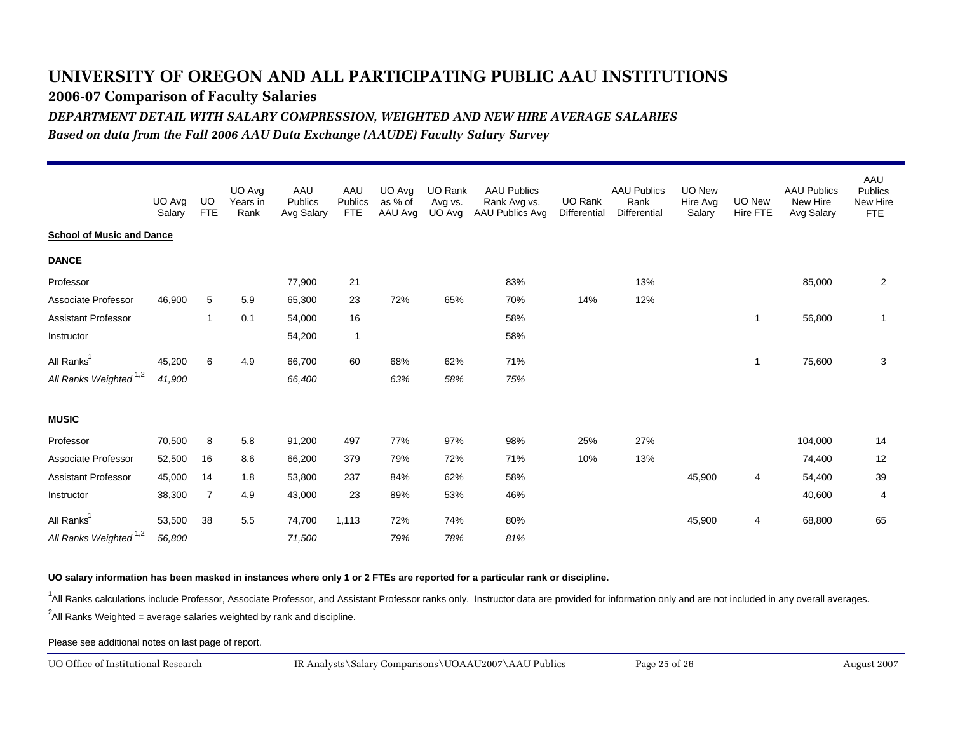**2006-07 Comparison of Faculty Salaries**

*DEPARTMENT DETAIL WITH SALARY COMPRESSION, WEIGHTED AND NEW HIRE AVERAGE SALARIES*

*Based on data from the Fall 2006 AAU Data Exchange (AAUDE) Faculty Salary Survey*

|                                   | UO Avg<br>Salary | UO.<br><b>FTE</b> | UO Avg<br>Years in<br>Rank | AAU<br><b>Publics</b><br>Avg Salary | AAU<br>Publics<br><b>FTE</b> | UO Avg<br>as % of<br>AAU Avg | <b>UO Rank</b><br>Avg vs.<br>UO Avg | <b>AAU Publics</b><br>Rank Avg vs.<br>AAU Publics Avg | UO Rank<br>Differential | <b>AAU Publics</b><br>Rank<br><b>Differential</b> | <b>UO New</b><br>Hire Avg<br>Salary | UO New<br>Hire FTE | <b>AAU Publics</b><br>New Hire<br>Avg Salary | AAU<br><b>Publics</b><br>New Hire<br><b>FTE</b> |
|-----------------------------------|------------------|-------------------|----------------------------|-------------------------------------|------------------------------|------------------------------|-------------------------------------|-------------------------------------------------------|-------------------------|---------------------------------------------------|-------------------------------------|--------------------|----------------------------------------------|-------------------------------------------------|
| <b>School of Music and Dance</b>  |                  |                   |                            |                                     |                              |                              |                                     |                                                       |                         |                                                   |                                     |                    |                                              |                                                 |
| <b>DANCE</b>                      |                  |                   |                            |                                     |                              |                              |                                     |                                                       |                         |                                                   |                                     |                    |                                              |                                                 |
| Professor                         |                  |                   |                            | 77,900                              | 21                           |                              |                                     | 83%                                                   |                         | 13%                                               |                                     |                    | 85,000                                       | 2                                               |
| Associate Professor               | 46,900           | 5                 | 5.9                        | 65,300                              | 23                           | 72%                          | 65%                                 | 70%                                                   | 14%                     | 12%                                               |                                     |                    |                                              |                                                 |
| <b>Assistant Professor</b>        |                  | $\mathbf{1}$      | 0.1                        | 54,000                              | 16                           |                              |                                     | 58%                                                   |                         |                                                   |                                     | -1                 | 56,800                                       | $\overline{1}$                                  |
| Instructor                        |                  |                   |                            | 54,200                              | $\mathbf{1}$                 |                              |                                     | 58%                                                   |                         |                                                   |                                     |                    |                                              |                                                 |
| All Ranks <sup>1</sup>            | 45,200           | 6                 | 4.9                        | 66,700                              | 60                           | 68%                          | 62%                                 | 71%                                                   |                         |                                                   |                                     | $\mathbf{1}$       | 75,600                                       | 3                                               |
| All Ranks Weighted <sup>1,2</sup> | 41,900           |                   |                            | 66,400                              |                              | 63%                          | 58%                                 | 75%                                                   |                         |                                                   |                                     |                    |                                              |                                                 |
| <b>MUSIC</b>                      |                  |                   |                            |                                     |                              |                              |                                     |                                                       |                         |                                                   |                                     |                    |                                              |                                                 |
| Professor                         | 70,500           | 8                 | 5.8                        | 91,200                              | 497                          | 77%                          | 97%                                 | 98%                                                   | 25%                     | 27%                                               |                                     |                    | 104,000                                      | 14                                              |
| Associate Professor               | 52,500           | 16                | 8.6                        | 66,200                              | 379                          | 79%                          | 72%                                 | 71%                                                   | 10%                     | 13%                                               |                                     |                    | 74,400                                       | 12                                              |
| <b>Assistant Professor</b>        | 45,000           | 14                | 1.8                        | 53,800                              | 237                          | 84%                          | 62%                                 | 58%                                                   |                         |                                                   | 45,900                              | 4                  | 54,400                                       | 39                                              |
| Instructor                        | 38,300           | $\overline{7}$    | 4.9                        | 43,000                              | 23                           | 89%                          | 53%                                 | 46%                                                   |                         |                                                   |                                     |                    | 40,600                                       | 4                                               |
| All Ranks <sup>1</sup>            | 53,500           | 38                | 5.5                        | 74,700                              | 1,113                        | 72%                          | 74%                                 | 80%                                                   |                         |                                                   | 45,900                              | 4                  | 68,800                                       | 65                                              |
| All Ranks Weighted <sup>1,2</sup> | 56,800           |                   |                            | 71,500                              |                              | 79%                          | 78%                                 | 81%                                                   |                         |                                                   |                                     |                    |                                              |                                                 |

**UO salary information has been masked in instances where only 1 or 2 FTEs are reported for a particular rank or discipline.**

<sup>1</sup>All Ranks calculations include Professor, Associate Professor, and Assistant Professor ranks only. Instructor data are provided for information only and are not included in any overall averages.

 $^2$ All Ranks Weighted = average salaries weighted by rank and discipline.

Please see additional notes on last page of report.

UO Office of Institutional Research

August 2007 IR Analysts\Salary Comparisons\UOAAU2007\AAU Publics Page 25 of 26